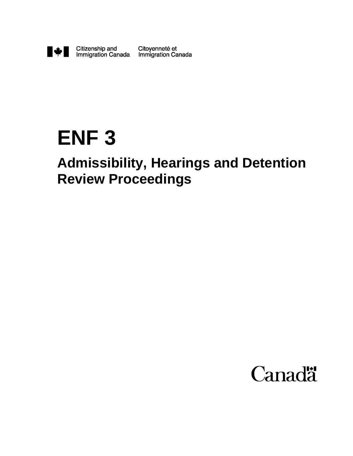

# **ENF 3**

# **Admissibility, Hearings and Detention Review Proceedings**

# **Canadä**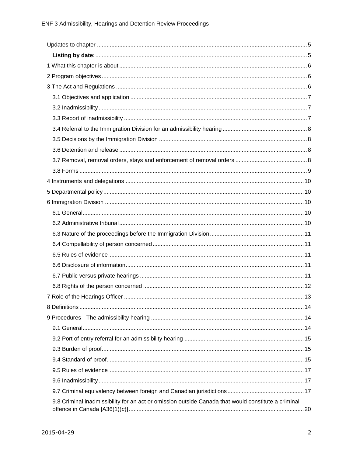| 9.8 Criminal inadmissibility for an act or omission outside Canada that would constitute a criminal |  |
|-----------------------------------------------------------------------------------------------------|--|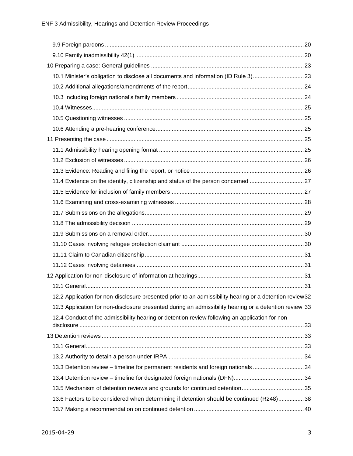| 10.1 Minister's obligation to disclose all documents and information (ID Rule 3)23                      |  |
|---------------------------------------------------------------------------------------------------------|--|
|                                                                                                         |  |
|                                                                                                         |  |
|                                                                                                         |  |
|                                                                                                         |  |
|                                                                                                         |  |
|                                                                                                         |  |
|                                                                                                         |  |
|                                                                                                         |  |
|                                                                                                         |  |
| 11.4 Evidence on the identity, citizenship and status of the person concerned 27                        |  |
|                                                                                                         |  |
|                                                                                                         |  |
|                                                                                                         |  |
|                                                                                                         |  |
|                                                                                                         |  |
|                                                                                                         |  |
|                                                                                                         |  |
|                                                                                                         |  |
|                                                                                                         |  |
|                                                                                                         |  |
| 12.2 Application for non-disclosure presented prior to an admissibility hearing or a detention review32 |  |
| 12.3 Application for non-disclosure presented during an admissibility hearing or a detention review 33  |  |
| 12.4 Conduct of the admissibility hearing or detention review following an application for non-         |  |
|                                                                                                         |  |
|                                                                                                         |  |
|                                                                                                         |  |
| 13.3 Detention review - timeline for permanent residents and foreign nationals 34                       |  |
|                                                                                                         |  |
|                                                                                                         |  |
| 13.6 Factors to be considered when determining if detention should be continued (R248)38                |  |
|                                                                                                         |  |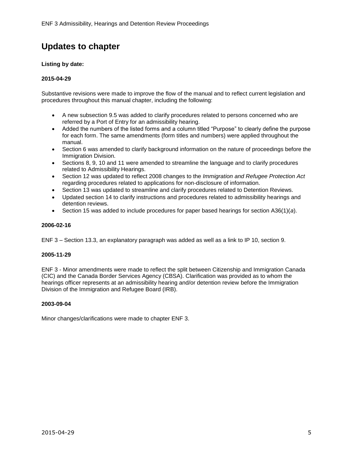# <span id="page-4-0"></span>**Updates to chapter**

#### <span id="page-4-1"></span>**Listing by date:**

#### **2015-04-29**

Substantive revisions were made to improve the flow of the manual and to reflect current legislation and procedures throughout this manual chapter, including the following:

- A new subsection 9.5 was added to clarify procedures related to persons concerned who are referred by a Port of Entry for an admissibility hearing.
- Added the numbers of the listed forms and a column titled "Purpose" to clearly define the purpose for each form. The same amendments (form titles and numbers) were applied throughout the manual.
- Section 6 was amended to clarify background information on the nature of proceedings before the Immigration Division.
- Sections 8, 9, 10 and 11 were amended to streamline the language and to clarify procedures related to Admissibility Hearings.
- Section 12 was updated to reflect 2008 changes to the *Immigration and Refugee Protection Act* regarding procedures related to applications for non-disclosure of information.
- Section 13 was updated to streamline and clarify procedures related to Detention Reviews.
- Updated section 14 to clarify instructions and procedures related to admissibility hearings and detention reviews.
- Section 15 was added to include procedures for paper based hearings for section A36(1)(*a*).

#### **2006-02-16**

ENF 3 – Section 13.3, an explanatory paragraph was added as well as a link to IP 10, section 9.

#### **2005-11-29**

ENF 3 - Minor amendments were made to reflect the split between Citizenship and Immigration Canada (CIC) and the Canada Border Services Agency (CBSA). Clarification was provided as to whom the hearings officer represents at an admissibility hearing and/or detention review before the Immigration Division of the Immigration and Refugee Board (IRB).

#### **2003-09-04**

Minor changes/clarifications were made to chapter ENF 3.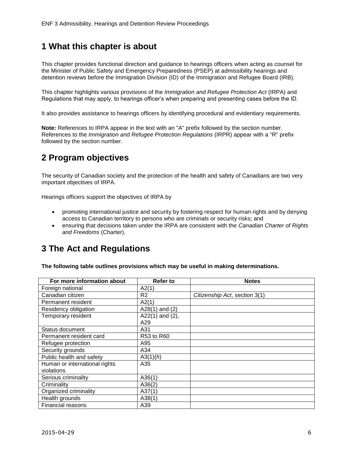# <span id="page-5-0"></span>**1 What this chapter is about**

This chapter provides functional direction and guidance to hearings officers when acting as counsel for the Minister of Public Safety and Emergency Preparedness (PSEP) at admissibility hearings and detention reviews before the Immigration Division (ID) of the Immigration and Refugee Board (IRB).

This chapter highlights various provisions of the *Immigration and Refugee Protection Act* (IRPA) and Regulations that may apply, to hearings officer's when preparing and presenting cases before the ID.

It also provides assistance to hearings officers by identifying procedural and evidentiary requirements.

**Note:** References to IRPA appear in the text with an "A" prefix followed by the section number. References to the *Immigration and Refugee Protection Regulations* (IRPR) appear with a "R" prefix followed by the section number.

# <span id="page-5-1"></span>**2 Program objectives**

The security of Canadian society and the protection of the health and safety of Canadians are two very important objectives of IRPA.

Hearings officers support the objectives of IRPA by

- promoting international justice and security by fostering respect for human rights and by denying access to Canadian territory to persons who are criminals or security risks; and
- ensuring that decisions taken under the IRPA are consistent with the *Canadian Charter of Rights and Freedoms* (Charter).

# <span id="page-5-2"></span>**3 The Act and Regulations**

**The following table outlines provisions which may be useful in making determinations.**

| For more information about    | <b>Refer to</b>       | <b>Notes</b>                  |
|-------------------------------|-----------------------|-------------------------------|
| Foreign national              | A2(1)                 |                               |
| Canadian citizen              | R2                    | Citizenship Act, section 3(1) |
| Permanent resident            | A2(1)                 |                               |
| Residency obligation          | A28 $(1)$ and $(2)$   |                               |
| Temporary resident            | A22 $(1)$ and $(2)$ , |                               |
|                               | A29                   |                               |
| Status document               | A31                   |                               |
| Permanent resident card       | R53 to R60            |                               |
| Refugee protection            | A95                   |                               |
| Security grounds              | A34                   |                               |
| Public health and safety      | A3(1)(h)              |                               |
| Human or international rights | A35                   |                               |
| violations                    |                       |                               |
| Serious criminality           | A36(1)                |                               |
| Criminality                   | A36(2)                |                               |
| Organized criminality         | A37(1)                |                               |
| Health grounds                | A38(1)                |                               |
| <b>Financial reasons</b>      | A39                   |                               |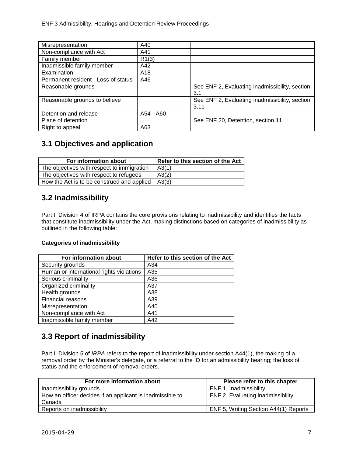| Misrepresentation                   | A40             |                                                |
|-------------------------------------|-----------------|------------------------------------------------|
| Non-compliance with Act             | A41             |                                                |
| Family member                       | R1(3)           |                                                |
| Inadmissible family member          | A42             |                                                |
| Examination                         | A <sub>18</sub> |                                                |
| Permanent resident - Loss of status | A46             |                                                |
| Reasonable grounds                  |                 | See ENF 2, Evaluating inadmissibility, section |
|                                     |                 | 3.1                                            |
| Reasonable grounds to believe       |                 | See ENF 2, Evaluating inadmissibility, section |
|                                     |                 | 3.11                                           |
| Detention and release               | A54 - A60       |                                                |
| Place of detention                  |                 | See ENF 20, Detention, section 11              |
| Right to appeal                     | A63             |                                                |

## <span id="page-6-0"></span>**3.1 Objectives and application**

| For information about                      | Refer to this section of the Act |
|--------------------------------------------|----------------------------------|
| The objectives with respect to immigration | A3(1)                            |
| The objectives with respect to refugees    | A3(2)                            |
| How the Act is to be construed and applied | A3(3)                            |

## <span id="page-6-1"></span>**3.2 Inadmissibility**

Part I, Division 4 of IRPA contains the core provisions relating to inadmissibility and identifies the facts that constitute inadmissibility under the Act, making distinctions based on categories of inadmissibility as outlined in the following table:

#### **Categories of inadmissibility**

| For information about                    | Refer to this section of the Act |
|------------------------------------------|----------------------------------|
| Security grounds                         | A34                              |
| Human or international rights violations | A35                              |
| Serious criminality                      | A36                              |
| Organized criminality                    | A37                              |
| Health grounds                           | A38                              |
| Financial reasons                        | A39                              |
| Misrepresentation                        | A40                              |
| Non-compliance with Act                  | A41                              |
| Inadmissible family member               | A42                              |

## <span id="page-6-2"></span>**3.3 Report of inadmissibility**

Part I, Division 5 of *IRPA* refers to the report of inadmissibility under section A44(1), the making of a removal order by the Minister's delegate, or a referral to the ID for an admissibility hearing; the loss of status and the enforcement of removal orders.

| For more information about                                | Please refer to this chapter          |
|-----------------------------------------------------------|---------------------------------------|
| Inadmissibility grounds                                   | ENF 1. Inadmissibility                |
| How an officer decides if an applicant is inadmissible to | ENF 2, Evaluating inadmissibility     |
| Canada                                                    |                                       |
| Reports on inadmissibility                                | ENF 5, Writing Section A44(1) Reports |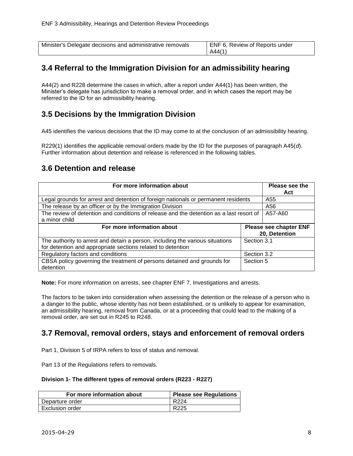| Minister's Delegate decisions and administrative removals | ENF 6, Review of Reports under |
|-----------------------------------------------------------|--------------------------------|
|                                                           | A44(1)                         |

## <span id="page-7-0"></span>**3.4 Referral to the Immigration Division for an admissibility hearing**

A44(2) and R228 determine the cases in which, after a report under A44(1) has been written, the Minister's delegate has jurisdiction to make a removal order, and in which cases the report may be referred to the ID for an admissibility hearing.

#### <span id="page-7-1"></span>**3.5 Decisions by the Immigration Division**

A45 identifies the various decisions that the ID may come to at the conclusion of an admissibility hearing.

R229(1) identifies the applicable removal orders made by the ID for the purposes of paragraph A45(*d*). Further information about detention and release is referenced in the following tables.

#### <span id="page-7-2"></span>**3.6 Detention and release**

| For more information about                                                                                                                   |             | Please see the<br>Act                          |
|----------------------------------------------------------------------------------------------------------------------------------------------|-------------|------------------------------------------------|
| Legal grounds for arrest and detention of foreign nationals or permanent residents                                                           | A55         |                                                |
| The release by an officer or by the Immigration Division                                                                                     | A56         |                                                |
| The review of detention and conditions of release and the detention as a last resort of<br>a minor child                                     | A57-A60     |                                                |
| For more information about                                                                                                                   |             | <b>Please see chapter ENF</b><br>20, Detention |
| The authority to arrest and detain a person, including the various situations<br>for detention and appropriate sections related to detention | Section 3.1 |                                                |
| Regulatory factors and conditions                                                                                                            | Section 3.2 |                                                |
| CBSA policy governing the treatment of persons detained and grounds for<br>detention                                                         | Section 5   |                                                |

**Note:** For more information on arrests, see chapter ENF 7, Investigations and arrests.

The factors to be taken into consideration when assessing the detention or the release of a person who is a danger to the public, whose identity has not been established, or is unlikely to appear for examination, an admissibility hearing, removal from Canada, or at a proceeding that could lead to the making of a removal order, are set out in R245 to R248.

#### <span id="page-7-3"></span>**3.7 Removal, removal orders, stays and enforcement of removal orders**

Part 1, Division 5 of IRPA refers to loss of status and removal.

Part 13 of the Regulations refers to removals.

#### **Division 1- The different types of removal orders (R223 - R227)**

| For more information about | <b>Please see Regulations</b> |
|----------------------------|-------------------------------|
| Departure order            | R <sub>224</sub>              |
| Exclusion order            | R <sub>225</sub>              |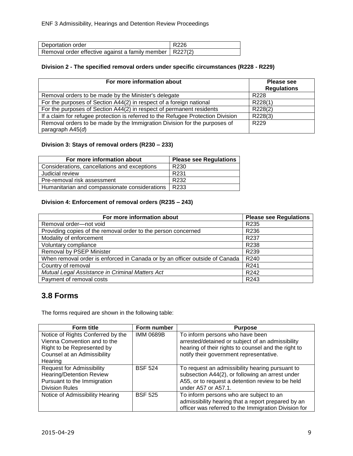| Deportation order                                         | R226 |
|-----------------------------------------------------------|------|
| Removal order effective against a family member   R227(2) |      |

#### **Division 2 - The specified removal orders under specific circumstances (R228 - R229)**

| For more information about                                                       | <b>Please see</b><br><b>Regulations</b> |
|----------------------------------------------------------------------------------|-----------------------------------------|
| Removal orders to be made by the Minister's delegate                             | R <sub>228</sub>                        |
| For the purposes of Section A44(2) in respect of a foreign national              | R228(1)                                 |
| For the purposes of Section A44(2) in respect of permanent residents             | R228(2)                                 |
| If a claim for refugee protection is referred to the Refugee Protection Division | R228(3)                                 |
| Removal orders to be made by the Immigration Division for the purposes of        | R <sub>229</sub>                        |
| paragraph $A45(d)$                                                               |                                         |

#### **Division 3: Stays of removal orders (R230 – 233)**

| For more information about                    | <b>Please see Regulations</b> |
|-----------------------------------------------|-------------------------------|
| Considerations, cancellations and exceptions  | R <sub>230</sub>              |
| Judicial review                               | R <sub>231</sub>              |
| Pre-removal risk assessment                   | R <sub>232</sub>              |
| Humanitarian and compassionate considerations | R233                          |

#### **Division 4: Enforcement of removal orders (R235 – 243)**

| For more information about                                                  | <b>Please see Regulations</b> |
|-----------------------------------------------------------------------------|-------------------------------|
| Removal order-not void                                                      | R <sub>235</sub>              |
| Providing copies of the removal order to the person concerned               | R236                          |
| Modality of enforcement                                                     | R <sub>237</sub>              |
| Voluntary compliance                                                        | R238                          |
| Removal by PSEP Minister                                                    | R <sub>239</sub>              |
| When removal order is enforced in Canada or by an officer outside of Canada | R <sub>240</sub>              |
| Country of removal                                                          | R <sub>241</sub>              |
| Mutual Legal Assistance in Criminal Matters Act                             | R <sub>242</sub>              |
| Payment of removal costs                                                    | R <sub>243</sub>              |

## <span id="page-8-0"></span>**3.8 Forms**

The forms required are shown in the following table:

| <b>Form title</b>                                                                                                                         | Form number      | <b>Purpose</b>                                                                                                                                                                        |
|-------------------------------------------------------------------------------------------------------------------------------------------|------------------|---------------------------------------------------------------------------------------------------------------------------------------------------------------------------------------|
| Notice of Rights Conferred by the<br>Vienna Convention and to the<br>Right to be Represented by<br>Counsel at an Admissibility<br>Hearing | <b>IMM 0689B</b> | To inform persons who have been<br>arrested/detained or subject of an admissibility<br>hearing of their rights to counsel and the right to<br>notify their government representative. |
| <b>Request for Admissibility</b><br><b>Hearing/Detention Review</b><br>Pursuant to the Immigration<br><b>Division Rules</b>               | <b>BSF 524</b>   | To request an admissibility hearing pursuant to<br>subsection A44(2), or following an arrest under<br>A55, or to request a detention review to be held<br>under A57 or A57.1.         |
| Notice of Admissibility Hearing                                                                                                           | <b>BSF 525</b>   | To inform persons who are subject to an<br>admissibility hearing that a report prepared by an<br>officer was referred to the Immigration Division for                                 |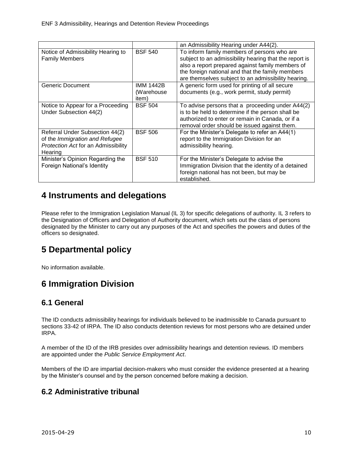|                                                                                                                            |                                  | an Admissibility Hearing under A44(2).                                                                                                                                                                                                                               |
|----------------------------------------------------------------------------------------------------------------------------|----------------------------------|----------------------------------------------------------------------------------------------------------------------------------------------------------------------------------------------------------------------------------------------------------------------|
| Notice of Admissibility Hearing to<br><b>Family Members</b>                                                                | <b>BSF 540</b>                   | To inform family members of persons who are<br>subject to an admissibility hearing that the report is<br>also a report prepared against family members of<br>the foreign national and that the family members<br>are themselves subject to an admissibility hearing. |
| Generic Document                                                                                                           | IMM 1442B<br>(Warehouse<br>item) | A generic form used for printing of all secure<br>documents (e.g., work permit, study permit)                                                                                                                                                                        |
| Notice to Appear for a Proceeding<br>Under Subsection 44(2)                                                                | <b>BSF 504</b>                   | To advise persons that a proceeding under A44(2)<br>is to be held to determine if the person shall be<br>authorized to enter or remain in Canada, or if a<br>removal order should be issued against them.                                                            |
| Referral Under Subsection 44(2)<br>of the Immigration and Refugee<br><b>Protection Act for an Admissibility</b><br>Hearing | <b>BSF 506</b>                   | For the Minister's Delegate to refer an A44(1)<br>report to the Immigration Division for an<br>admissibility hearing.                                                                                                                                                |
| Minister's Opinion Regarding the<br>Foreign National's Identity                                                            | <b>BSF 510</b>                   | For the Minister's Delegate to advise the<br>Immigration Division that the identity of a detained<br>foreign national has not been, but may be<br>established.                                                                                                       |

# <span id="page-9-0"></span>**4 Instruments and delegations**

Please refer to the Immigration Legislation Manual (IL 3) for specific delegations of authority. IL 3 refers to the Designation of Officers and Delegation of Authority document, which sets out the class of persons designated by the Minister to carry out any purposes of the Act and specifies the powers and duties of the officers so designated.

# <span id="page-9-1"></span>**5 Departmental policy**

No information available.

# <span id="page-9-2"></span>**6 Immigration Division**

## <span id="page-9-3"></span>**6.1 General**

The ID conducts admissibility hearings for individuals believed to be inadmissible to Canada pursuant to sections 33-42 of IRPA. The ID also conducts detention reviews for most persons who are detained under IRPA.

A member of the ID of the IRB presides over admissibility hearings and detention reviews. ID members are appointed under the *Public Service Employment Act*.

Members of the ID are impartial decision-makers who must consider the evidence presented at a hearing by the Minister's counsel and by the person concerned before making a decision.

## <span id="page-9-4"></span>**6.2 Administrative tribunal**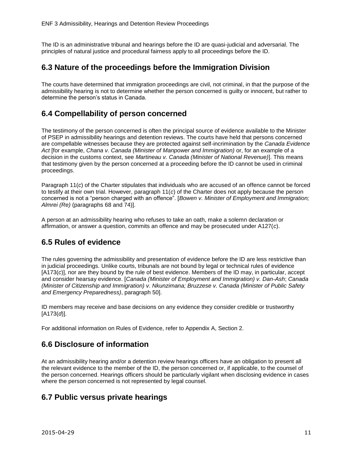The ID is an administrative tribunal and hearings before the ID are quasi-judicial and adversarial. The principles of natural justice and procedural fairness apply to all proceedings before the ID.

#### <span id="page-10-0"></span>**6.3 Nature of the proceedings before the Immigration Division**

The courts have determined that immigration proceedings are civil, not criminal, in that the purpose of the admissibility hearing is not to determine whether the person concerned is guilty or innocent, but rather to determine the person's status in Canada.

## <span id="page-10-1"></span>**6.4 Compellability of person concerned**

The testimony of the person concerned is often the principal source of evidence available to the Minister of PSEP in admissibility hearings and detention reviews. The courts have held that persons concerned are compellable witnesses because they are protected against self-incrimination by the *Canada Evidence Act* [for example, *Chana v. Canada (Minister of Manpower and Immigration)* or, for an example of a decision in the customs context, see *Martineau v. Canada (Minister of National Revenue)*]. This means that testimony given by the person concerned at a proceeding before the ID cannot be used in criminal proceedings.

Paragraph 11(*c*) of the Charter stipulates that individuals who are accused of an offence cannot be forced to testify at their own trial. However, paragraph 11(*c*) of the Charter does not apply because the person concerned is not a "person charged with an offence". [*Bowen v. Minister of Employment and Immigration; Almrei (Re)* (paragraphs 68 and 74)].

A person at an admissibility hearing who refuses to take an oath, make a solemn declaration or affirmation, or answer a question, commits an offence and may be prosecuted under A127(*c*).

## <span id="page-10-2"></span>**6.5 Rules of evidence**

The rules governing the admissibility and presentation of evidence before the ID are less restrictive than in judicial proceedings. Unlike courts, tribunals are not bound by legal or technical rules of evidence [A173(*c*)], nor are they bound by the rule of best evidence. Members of the ID may, in particular, accept and consider hearsay evidence. [*Canada (Minister of Employment and Immigration) v. Dan-Ash*; *Canada (Minister of Citizenship and Immigration) v. Nkunzimana; Bruzzese v. Canada (Minister of Public Safety and Emergency Preparedness)*, paragraph 50].

ID members may receive and base decisions on any evidence they consider credible or trustworthy [A173(*d*)].

For additional information on Rules of Evidence, refer to Appendix A, Section 2.

#### <span id="page-10-3"></span>**6.6 Disclosure of information**

At an admissibility hearing and/or a detention review hearings officers have an obligation to present all the relevant evidence to the member of the ID, the person concerned or, if applicable, to the counsel of the person concerned. Hearings officers should be particularly vigilant when disclosing evidence in cases where the person concerned is not represented by legal counsel.

## <span id="page-10-4"></span>**6.7 Public versus private hearings**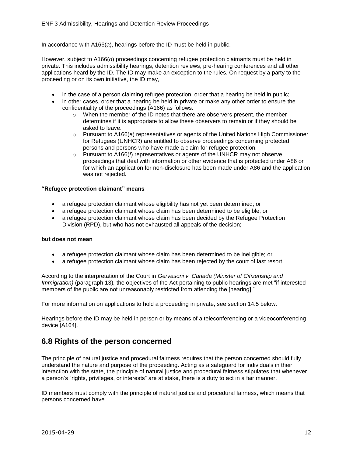In accordance with A166(*a*), hearings before the ID must be held in public.

However, subject to A166(*d*) proceedings concerning refugee protection claimants must be held in private. This includes admissibility hearings, detention reviews, pre-hearing conferences and all other applications heard by the ID. The ID may make an exception to the rules. On request by a party to the proceeding or on its own initiative, the ID may,

- in the case of a person claiming refugee protection, order that a hearing be held in public;
- in other cases, order that a hearing be held in private or make any other order to ensure the confidentiality of the proceedings (A166) as follows:
	- $\circ$  When the member of the ID notes that there are observers present, the member determines if it is appropriate to allow these observers to remain or if they should be asked to leave.
	- o Pursuant to A166(*e*) representatives or agents of the United Nations High Commissioner for Refugees (UNHCR) are entitled to observe proceedings concerning protected persons and persons who have made a claim for refugee protection.
	- o Pursuant to A166(*f*) representatives or agents of the UNHCR may not observe proceedings that deal with information or other evidence that is protected under A86 or for which an application for non-disclosure has been made under A86 and the application was not rejected.

#### **"Refugee protection claimant" means**

- a refugee protection claimant whose eligibility has not yet been determined; or
- a refugee protection claimant whose claim has been determined to be eligible; or
- a refugee protection claimant whose claim has been decided by the Refugee Protection Division (RPD), but who has not exhausted all appeals of the decision;

#### **but does not mean**

- a refugee protection claimant whose claim has been determined to be ineligible; or
- a refugee protection claimant whose claim has been rejected by the court of last resort.

According to the interpretation of the Court in *Gervasoni v. Canada (Minister of Citizenship and Immigration*) (paragraph 13), the objectives of the Act pertaining to public hearings are met "if interested members of the public are not unreasonably restricted from attending the [hearing]."

For more information on applications to hold a proceeding in private, see section 14.5 below.

Hearings before the ID may be held in person or by means of a teleconferencing or a videoconferencing device [A164].

## <span id="page-11-0"></span>**6.8 Rights of the person concerned**

The principle of natural justice and procedural fairness requires that the person concerned should fully understand the nature and purpose of the proceeding. Acting as a safeguard for individuals in their interaction with the state, the principle of natural justice and procedural fairness stipulates that whenever a person's "rights, privileges, or interests" are at stake, there is a duty to act in a fair manner.

ID members must comply with the principle of natural justice and procedural fairness, which means that persons concerned have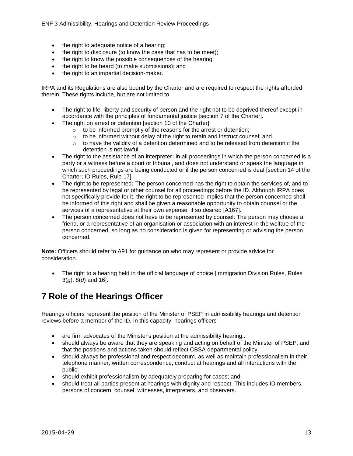- the right to adequate notice of a hearing;
- the right to disclosure (to know the case that has to be meet);
- the right to know the possible consequences of the hearing;
- the right to be heard (to make submissions); and
- the right to an impartial decision-maker.

IRPA and its Regulations are also bound by the Charter and are required to respect the rights afforded therein. These rights include, but are not limited to

- The right to life, liberty and security of person and the right not to be deprived thereof except in accordance with the principles of fundamental justice [section 7 of the Charter].
- The right on arrest or detention [section 10 of the Charter]:
	- o to be informed promptly of the reasons for the arrest or detention;
	- $\circ$  to be informed without delay of the right to retain and instruct counsel; and
	- $\circ$  to have the validity of a detention determined and to be released from detention if the detention is not lawful.
- The right to the assistance of an interpreter**:** in all proceedings in which the person concerned is a party or a witness before a court or tribunal, and does not understand or speak the language in which such proceedings are being conducted or if the person concerned is deaf [section 14 of the Charter; ID Rules, Rule 17].
- The right to be represented**:** The person concerned has the right to obtain the services of, and to be represented by legal or other counsel for all proceedings before the ID. Although IRPA does not specifically provide for it, the right to be represented implies that the person concerned shall be informed of this right and shall be given a reasonable opportunity to obtain counsel or the services of a representative at their own expense, if so desired [A167].
- The person concerned does not have to be represented by counsel: The person may choose a friend, or a representative of an organisation or association with an interest in the welfare of the person concerned, so long as no consideration is given for representing or advising the person concerned.

**Note:** Officers should refer to A91 for guidance on who may represent or provide advice for consideration.

 The right to a hearing held in the official language of choice [Immigration Division Rules, Rules 3(*g*), 8(*d*) and 16].

# <span id="page-12-0"></span>**7 Role of the Hearings Officer**

Hearings officers represent the position of the Minister of PSEP in admissibility hearings and detention reviews before a member of the ID. In this capacity, hearings officers

- are firm advocates of the Minister's position at the admissibility hearing:
- should always be aware that they are speaking and acting on behalf of the Minister of PSEP, and that the positions and actions taken should reflect CBSA departmental policy;
- should always be professional and respect decorum, as well as maintain professionalism in their telephone manner, written correspondence, conduct at hearings and all interactions with the public;
- should exhibit professionalism by adequately preparing for cases; and
- should treat all parties present at hearings with dignity and respect. This includes ID members, persons of concern, counsel, witnesses, interpreters, and observers.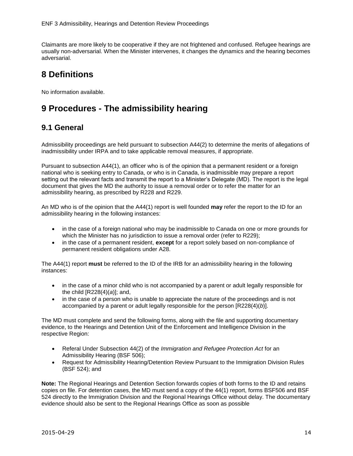Claimants are more likely to be cooperative if they are not frightened and confused. Refugee hearings are usually non-adversarial. When the Minister intervenes, it changes the dynamics and the hearing becomes adversarial.

# <span id="page-13-0"></span>**8 Definitions**

No information available.

# <span id="page-13-1"></span>**9 Procedures - The admissibility hearing**

## <span id="page-13-2"></span>**9.1 General**

Admissibility proceedings are held pursuant to subsection A44(2) to determine the merits of allegations of inadmissibility under IRPA and to take applicable removal measures, if appropriate.

Pursuant to subsection A44(1), an officer who is of the opinion that a permanent resident or a foreign national who is seeking entry to Canada, or who is in Canada, is inadmissible may prepare a report setting out the relevant facts and transmit the report to a Minister's Delegate (MD). The report is the legal document that gives the MD the authority to issue a removal order or to refer the matter for an admissibility hearing, as prescribed by R228 and R229.

An MD who is of the opinion that the A44(1) report is well founded **may** refer the report to the ID for an admissibility hearing in the following instances:

- in the case of a foreign national who may be inadmissible to Canada on one or more grounds for which the Minister has no jurisdiction to issue a removal order (refer to R229);
- in the case of a permanent resident, **except** for a report solely based on non-compliance of permanent resident obligations under A28.

The A44(1) report **must** be referred to the ID of the IRB for an admissibility hearing in the following instances:

- in the case of a minor child who is not accompanied by a parent or adult legally responsible for the child [R228(4)(*a*)]; and,
- in the case of a person who is unable to appreciate the nature of the proceedings and is not accompanied by a parent or adult legally responsible for the person [R228(4)(*b*)].

The MD must complete and send the following forms, along with the file and supporting documentary evidence, to the Hearings and Detention Unit of the Enforcement and Intelligence Division in the respective Region:

- Referal Under Subsection 44(2) of the *Immigration and Refugee Protection Act* for an Admissibility Hearing (BSF 506);
- Request for Admissibility Hearing/Detention Review Pursuant to the Immigration Division Rules (BSF 524); and

**Note:** The Regional Hearings and Detention Section forwards copies of both forms to the ID and retains copies on file. For detention cases, the MD must send a copy of the 44(1) report, forms BSF506 and BSF 524 directly to the Immigration Division and the Regional Hearings Office without delay. The documentary evidence should also be sent to the Regional Hearings Office as soon as possible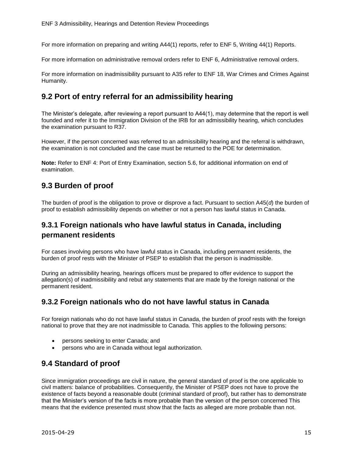For more information on preparing and writing A44(1) reports, refer to ENF 5, Writing 44(1) Reports.

For more information on administrative removal orders refer to ENF 6, Administrative removal orders.

For more information on inadmissibility pursuant to A35 refer to ENF 18, War Crimes and Crimes Against Humanity.

### <span id="page-14-0"></span>**9.2 Port of entry referral for an admissibility hearing**

The Minister's delegate, after reviewing a report pursuant to A44(1), may determine that the report is well founded and refer it to the Immigration Division of the IRB for an admissibility hearing, which concludes the examination pursuant to R37.

However, if the person concerned was referred to an admissibility hearing and the referral is withdrawn, the examination is not concluded and the case must be returned to the POE for determination.

**Note:** Refer to ENF 4: Port of Entry Examination, section 5.6, for additional information on end of examination.

## <span id="page-14-1"></span>**9.3 Burden of proof**

The burden of proof is the obligation to prove or disprove a fact. Pursuant to section A45(*d*) the burden of proof to establish admissibility depends on whether or not a person has lawful status in Canada.

## **9.3.1 Foreign nationals who have lawful status in Canada, including permanent residents**

For cases involving persons who have lawful status in Canada, including permanent residents, the burden of proof rests with the Minister of PSEP to establish that the person is inadmissible.

During an admissibility hearing, hearings officers must be prepared to offer evidence to support the allegation(s) of inadmissibility and rebut any statements that are made by the foreign national or the permanent resident.

#### **9.3.2 Foreign nationals who do not have lawful status in Canada**

For foreign nationals who do not have lawful status in Canada, the burden of proof rests with the foreign national to prove that they are not inadmissible to Canada. This applies to the following persons:

- persons seeking to enter Canada; and
- persons who are in Canada without legal authorization.

## <span id="page-14-2"></span>**9.4 Standard of proof**

Since immigration proceedings are civil in nature, the general standard of proof is the one applicable to civil matters: balance of probabilities. Consequently, the Minister of PSEP does not have to prove the existence of facts beyond a reasonable doubt (criminal standard of proof), but rather has to demonstrate that the Minister's version of the facts is more probable than the version of the person concerned This means that the evidence presented must show that the facts as alleged are more probable than not.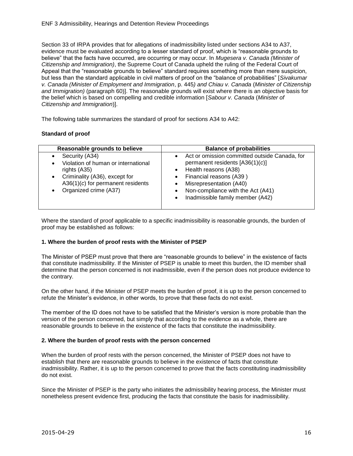Section 33 of IRPA provides that for allegations of inadmissibility listed under sections A34 to A37, evidence must be evaluated according to a lesser standard of proof, which is "reasonable grounds to believe" that the facts have occurred, are occurring or may occur. In *Mugesera v. Canada (Minister of Citizenship and Immigration)*, the Supreme Court of Canada upheld the ruling of the Federal Court of Appeal that the "reasonable grounds to believe" standard requires something more than mere suspicion, but less than the standard applicable in civil matters of proof on the "balance of probabilities" [*Sivakumar v. Canada (Minister of Employment and Immigration*, p. 445*) and Chiau v. Canada* (*Minister of Citizenship and Immigration)* (paragraph 60)]. The reasonable grounds will exist where there is an objective basis for the belief which is based on compelling and credible information [*Sabour v. Canada* (*Minister of Citizenship and Immigration*)].

The following table summarizes the standard of proof for sections A34 to A42:

#### **Standard of proof**

| Reasonable grounds to believe                                                                                                                                                                               | <b>Balance of probabilities</b>                                                                                                                                                                                                                        |
|-------------------------------------------------------------------------------------------------------------------------------------------------------------------------------------------------------------|--------------------------------------------------------------------------------------------------------------------------------------------------------------------------------------------------------------------------------------------------------|
| Security (A34)<br>٠<br>Violation of human or international<br>٠<br>rights (A35)<br>Criminality (A36), except for<br>$\bullet$<br>A36(1) $(c)$ for permanent residents<br>Organized crime (A37)<br>$\bullet$ | Act or omission committed outside Canada, for<br>permanent residents [A36(1)(c)]<br>• Health reasons (A38)<br>Financial reasons (A39)<br>Misrepresentation (A40)<br>Non-compliance with the Act (A41)<br>Inadmissible family member (A42)<br>$\bullet$ |

Where the standard of proof applicable to a specific inadmissibility is reasonable grounds, the burden of proof may be established as follows:

#### **1. Where the burden of proof rests with the Minister of PSEP**

The Minister of PSEP must prove that there are "reasonable grounds to believe" in the existence of facts that constitute inadmissibility. If the Minister of PSEP is unable to meet this burden, the ID member shall determine that the person concerned is not inadmissible, even if the person does not produce evidence to the contrary.

On the other hand, if the Minister of PSEP meets the burden of proof, it is up to the person concerned to refute the Minister's evidence, in other words, to prove that these facts do not exist.

The member of the ID does not have to be satisfied that the Minister's version is more probable than the version of the person concerned, but simply that according to the evidence as a whole, there are reasonable grounds to believe in the existence of the facts that constitute the inadmissibility.

#### **2. Where the burden of proof rests with the person concerned**

When the burden of proof rests with the person concerned, the Minister of PSEP does not have to establish that there are reasonable grounds to believe in the existence of facts that constitute inadmissibility. Rather, it is up to the person concerned to prove that the facts constituting inadmissibility do not exist.

Since the Minister of PSEP is the party who initiates the admissibility hearing process, the Minister must nonetheless present evidence first, producing the facts that constitute the basis for inadmissibility.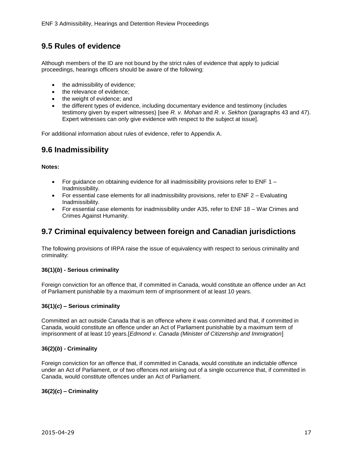## <span id="page-16-0"></span>**9.5 Rules of evidence**

Although members of the ID are not bound by the strict rules of evidence that apply to judicial proceedings, hearings officers should be aware of the following:

- the admissibility of evidence;
- the relevance of evidence;
- the weight of evidence; and
- the different types of evidence, including documentary evidence and testimony (includes testimony given by expert witnesses) [see *R. v. Mohan* and *R. v. Sekhon* (paragraphs 43 and 47). Expert witnesses can only give evidence with respect to the subject at issue].

For additional information about rules of evidence, refer to Appendix A.

## <span id="page-16-1"></span>**9.6 Inadmissibility**

#### **Notes:**

- For guidance on obtaining evidence for all inadmissibility provisions refer to ENF  $1 -$ Inadmissibility.
- For essential case elements for all inadmissibility provisions, refer to ENF  $2 -$  Evaluating Inadmissibility.
- For essential case elements for inadmissibility under A35, refer to ENF 18 War Crimes and Crimes Against Humanity.

## <span id="page-16-2"></span>**9.7 Criminal equivalency between foreign and Canadian jurisdictions**

The following provisions of IRPA raise the issue of equivalency with respect to serious criminality and criminality:

#### **36(1)(***b***) - Serious criminality**

Foreign conviction for an offence that, if committed in Canada, would constitute an offence under an Act of Parliament punishable by a maximum term of imprisonment of at least 10 years.

#### **36(1)(***c***) – Serious criminality**

Committed an act outside Canada that is an offence where it was committed and that, if committed in Canada, would constitute an offence under an Act of Parliament punishable by a maximum term of imprisonment of at least 10 years.[*Edmond v. Canada (Minister of Citizenship and Immigration*]

#### **36(2)(***b***) - Criminality**

Foreign conviction for an offence that, if committed in Canada, would constitute an indictable offence under an Act of Parliament, or of two offences not arising out of a single occurrence that, if committed in Canada, would constitute offences under an Act of Parliament.

#### **36(2)(***c***) – Criminality**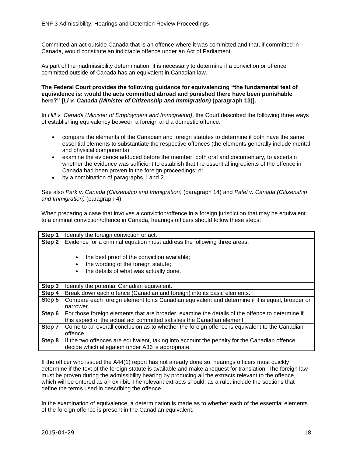Committed an act outside Canada that is an offence where it was committed and that, if committed in Canada, would constitute an indictable offence under an Act of Parliament.

As part of the inadmissibility determination, it is necessary to determine if a conviction or offence committed outside of Canada has an equivalent in Canadian law.

#### **The Federal Court provides the following guidance for equivalencing "the fundamental test of equivalence is: would the acts committed abroad and punished there have been punishable here?" [***Li v. Canada (Minister of Citizenship and Immigration)* **(paragraph 13)].**

In *Hill v. Canada (Minister of Employment and Immigration)*, the Court described the following three ways of establishing equivalency between a foreign and a domestic offence:

- compare the elements of the Canadian and foreign statutes to determine if both have the same essential elements to substantiate the respective offences (the elements generally include mental and physical components);
- examine the evidence adduced before the member, both oral and documentary, to ascertain whether the evidence was sufficient to establish that the essential ingredients of the offence in Canada had been proven in the foreign proceedings; or
- by a combination of paragraphs 1 and 2.

See also *Park v. Canada (Citizenship and Immigration)* (paragraph 14) and *Patel v. Canada (Citizenship and Immigration)* (paragraph 4).

When preparing a case that involves a conviction/offence in a foreign jurisdiction that may be equivalent to a criminal conviction/offence in Canada, hearings officers should follow these steps:

| Step 1 | Identify the foreign conviction or act.                                                          |
|--------|--------------------------------------------------------------------------------------------------|
| Step 2 | Evidence for a criminal equation must address the following three areas:                         |
|        |                                                                                                  |
|        | the best proof of the conviction available;<br>٠                                                 |
|        | the wording of the foreign statute;<br>$\bullet$                                                 |
|        | the details of what was actually done.<br>$\bullet$                                              |
|        |                                                                                                  |
| Step 3 | Identify the potential Canadian equivalent.                                                      |
| Step 4 | Break down each offence (Canadian and foreign) into its basic elements.                          |
| Step 5 | Compare each foreign element to its Canadian equivalent and determine if it is equal, broader or |
|        | narrower.                                                                                        |
| Step 6 | For those foreign elements that are broader, examine the details of the offence to determine if  |
|        | this aspect of the actual act committed satisfies the Canadian element.                          |
| Step 7 | Come to an overall conclusion as to whether the foreign offence is equivalent to the Canadian    |
|        | offence.                                                                                         |
| Step 8 | If the two offences are equivalent, taking into account the penalty for the Canadian offence,    |
|        | decide which allegation under A36 is appropriate.                                                |

If the officer who issued the A44(1) report has not already done so, hearings officers must quickly determine if the text of the foreign statute is available and make a request for translation. The foreign law must be proven during the admissibility hearing by producing all the extracts relevant to the offence, which will be entered as an exhibit. The relevant extracts should, as a rule, include the sections that define the terms used in describing the offence.

In the examination of equivalence, a determination is made as to whether each of the essential elements of the foreign offence is present in the Canadian equivalent.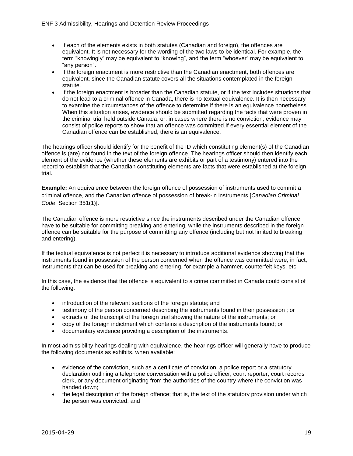- If each of the elements exists in both statutes (Canadian and foreign), the offences are equivalent. It is not necessary for the wording of the two laws to be identical. For example, the term "knowingly" may be equivalent to "knowing", and the term "whoever" may be equivalent to "any person".
- If the foreign enactment is more restrictive than the Canadian enactment, both offences are equivalent, since the Canadian statute covers all the situations contemplated in the foreign statute.
- If the foreign enactment is broader than the Canadian statute, or if the text includes situations that do not lead to a criminal offence in Canada, there is no textual equivalence. It is then necessary to examine the circumstances of the offence to determine if there is an equivalence nonetheless. When this situation arises, evidence should be submitted regarding the facts that were proven in the criminal trial held outside Canada; or, in cases where there is no conviction, evidence may consist of police reports to show that an offence was committed.If every essential element of the Canadian offence can be established, there is an equivalence.

The hearings officer should identify for the benefit of the ID which constituting element(s) of the Canadian offence is (are) not found in the text of the foreign offence. The hearings officer should then identify each element of the evidence (whether these elements are exhibits or part of a testimony) entered into the record to establish that the Canadian constituting elements are facts that were established at the foreign trial.

**Example:** An equivalence between the foreign offence of possession of instruments used to commit a criminal offence, and the Canadian offence of possession of break-in instruments [*Canadian Criminal Code*, Section 351(1)].

The Canadian offence is more restrictive since the instruments described under the Canadian offence have to be suitable for committing breaking and entering, while the instruments described in the foreign offence can be suitable for the purpose of committing any offence (including but not limited to breaking and entering).

If the textual equivalence is not perfect it is necessary to introduce additional evidence showing that the instruments found in possession of the person concerned when the offence was committed were, in fact, instruments that can be used for breaking and entering, for example a hammer, counterfeit keys, etc.

In this case, the evidence that the offence is equivalent to a crime committed in Canada could consist of the following:

- introduction of the relevant sections of the foreign statute; and
- testimony of the person concerned describing the instruments found in their possession ; or
- extracts of the transcript of the foreign trial showing the nature of the instruments; or
- copy of the foreign indictment which contains a description of the instruments found; or
- documentary evidence providing a description of the instruments.

In most admissibility hearings dealing with equivalence, the hearings officer will generally have to produce the following documents as exhibits, when available:

- evidence of the conviction, such as a certificate of conviction, a police report or a statutory declaration outlining a telephone conversation with a police officer, court reporter, court records clerk, or any document originating from the authorities of the country where the conviction was handed down;
- the legal description of the foreign offence; that is, the text of the statutory provision under which the person was convicted; and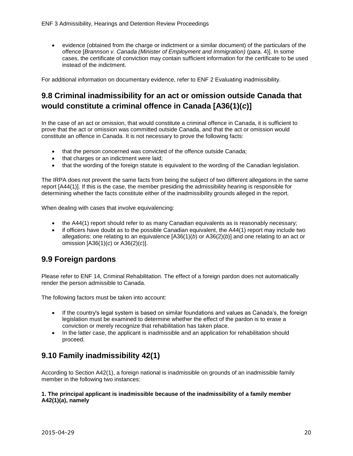evidence (obtained from the charge or indictment or a similar document) of the particulars of the offence [*Brannson v. Canada (Minister of Employment and Immigration)* (para. 4)]. In some cases, the certificate of conviction may contain sufficient information for the certificate to be used instead of the indictment.

For additional information on documentary evidence, refer to ENF 2 Evaluating inadmissibility.

## <span id="page-19-0"></span>**9.8 Criminal inadmissibility for an act or omission outside Canada that would constitute a criminal offence in Canada [A36(1)(***c***)]**

In the case of an act or omission, that would constitute a criminal offence in Canada, it is sufficient to prove that the act or omission was committed outside Canada, and that the act or omission would constitute an offence in Canada. It is not necessary to prove the following facts:

- that the person concerned was convicted of the offence outside Canada;
- that charges or an indictment were laid;
- that the wording of the foreign statute is equivalent to the wording of the Canadian legislation.

The IRPA does not prevent the same facts from being the subject of two different allegations in the same report [A44(1)]. If this is the case, the member presiding the admissibility hearing is responsible for determining whether the facts constitute either of the inadmissibility grounds alleged in the report.

When dealing with cases that involve equivalencing:

- $\bullet$  the A44(1) report should refer to as many Canadian equivalents as is reasonably necessary;
- if officers have doubt as to the possible Canadian equivalent, the A44(1) report may include two allegations: one relating to an equivalence [A36(1)(*b*) or A36(2)(*b*)] and one relating to an act or omission [A36(1)(*c*) or A36(2)(*c*)].

## <span id="page-19-1"></span>**9.9 Foreign pardons**

Please refer to ENF 14, Criminal Rehabilitation. The effect of a foreign pardon does not automatically render the person admissible to Canada.

The following factors must be taken into account:

- If the country's legal system is based on similar foundations and values as Canada's, the foreign legislation must be examined to determine whether the effect of the pardon is to erase a conviction or merely recognize that rehabilitation has taken place.
- In the latter case, the applicant is inadmissible and an application for rehabilitation should proceed.

## <span id="page-19-2"></span>**9.10 Family inadmissibility 42(1)**

According to Section A42(1), a foreign national is inadmissible on grounds of an inadmissible family member in the following two instances:

#### **1. The principal applicant is inadmissible because of the inadmissibility of a family member A42(1)(***a***), namely**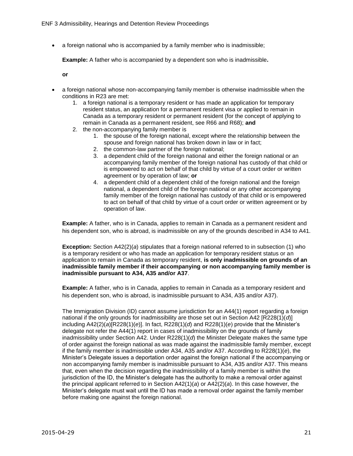a foreign national who is accompanied by a family member who is inadmissible;

**Example:** A father who is accompanied by a dependent son who is inadmissible**.**

**or**

- a foreign national whose non-accompanying family member is otherwise inadmissible when the conditions in R23 are met:
	- 1. a foreign national is a temporary resident or has made an application for temporary resident status, an application for a permanent resident visa or applied to remain in Canada as a temporary resident or permanent resident (for the concept of applying to remain in Canada as a permanent resident, see R66 and R68); **and**
	- 2. the non-accompanying family member is
		- 1. the spouse of the foreign national, except where the relationship between the spouse and foreign national has broken down in law or in fact;
		- 2. the common-law partner of the foreign national;
		- 3. a dependent child of the foreign national and either the foreign national or an accompanying family member of the foreign national has custody of that child or is empowered to act on behalf of that child by virtue of a court order or written agreement or by operation of law; **or**
		- 4. a dependent child of a dependent child of the foreign national and the foreign national, a dependent child of the foreign national or any other accompanying family member of the foreign national has custody of that child or is empowered to act on behalf of that child by virtue of a court order or written agreement or by operation of law.

**Example:** A father, who is in Canada, applies to remain in Canada as a permanent resident and his dependent son, who is abroad, is inadmissible on any of the grounds described in A34 to A41.

**Exception:** Section A42(2)(*a*) stipulates that a foreign national referred to in subsection (1) who is a temporary resident or who has made an application for temporary resident status or an application to remain in Canada as temporary resident, **is only inadmissible on grounds of an inadmissible family member if their accompanying or non accompanying family member is inadmissible pursuant to A34, A35 and/or A37**.

**Example:** A father, who is in Canada, applies to remain in Canada as a temporary resident and his dependent son, who is abroad, is inadmissible pursuant to A34, A35 and/or A37).

The Immigration Division (ID) cannot assume jurisdiction for an A44(1) report regarding a foreign national if the only grounds for inadmissibility are those set out in Section A42 [R228(1)(*d*)] including A42(2)(*a*)[R228(1)(*e*)]. In fact, R228(1)(*d*) and R228(1)(*e*) provide that the Minister's delegate not refer the A44(1) report in cases of inadmissibility on the grounds of family inadmissibility under Section A42. Under R228(1)(*d*) the Minister Delegate makes the same type of order against the foreign national as was made against the inadmissible family member, except if the family member is inadmissible under A34, A35 and/or A37. According to R228(1)(*e*), the Minister's Delegate issues a deportation order against the foreign national if the accompanying or non accompanying family member is inadmissible pursuant to A34, A35 and/or A37. This means that, even when the decision regarding the inadmissibility of a family member is within the jurisdiction of the ID, the Minister's delegate has the authority to make a removal order against the principal applicant referred to in Section A42(1)(*a*) or A42(2)(*a*). In this case however, the Minister's delegate must wait until the ID has made a removal order against the family member before making one against the foreign national.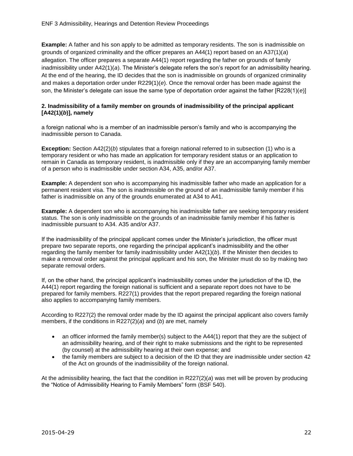**Example:** A father and his son apply to be admitted as temporary residents. The son is inadmissible on grounds of organized criminality and the officer prepares an A44(1) report based on an A37(1)(*a*) allegation. The officer prepares a separate A44(1) report regarding the father on grounds of family inadmissibility under A42(1)(*a*). The Minister's delegate refers the son's report for an admissibility hearing. At the end of the hearing, the ID decides that the son is inadmissible on grounds of organized criminality and makes a deportation order under R229(1)(*e*). Once the removal order has been made against the son, the Minister's delegate can issue the same type of deportation order against the father [R228(1)(*e*)]

#### **2. Inadmissibility of a family member on grounds of inadmissibility of the principal applicant [A42(1)(***b***)], namely**

a foreign national who is a member of an inadmissible person's family and who is accompanying the inadmissible person to Canada.

**Exception:** Section A42(2)(*b*) stipulates that a foreign national referred to in subsection (1) who is a temporary resident or who has made an application for temporary resident status or an application to remain in Canada as temporary resident, is inadmissible only if they are an accompanying family member of a person who is inadmissible under section A34, A35, and/or A37.

**Example:** A dependent son who is accompanying his inadmissible father who made an application for a permanent resident visa. The son is inadmissible on the ground of an inadmissible family member if his father is inadmissible on any of the grounds enumerated at A34 to A41.

**Example:** A dependent son who is accompanying his inadmissible father are seeking temporary resident status. The son is only inadmissible on the grounds of an inadmissible family member if his father is inadmissible pursuant to A34. A35 and/or A37.

If the inadmissibility of the principal applicant comes under the Minister's jurisdiction, the officer must prepare two separate reports, one regarding the principal applicant's inadmissibility and the other regarding the family member for family inadmissibility under A42(1)(*b*). If the Minister then decides to make a removal order against the principal applicant and his son, the Minister must do so by making two separate removal orders.

If, on the other hand, the principal applicant's inadmissibility comes under the jurisdiction of the ID, the A44(1) report regarding the foreign national is sufficient and a separate report does not have to be prepared for family members. R227(1) provides that the report prepared regarding the foreign national also applies to accompanying family members.

According to R227(2) the removal order made by the ID against the principal applicant also covers family members, if the conditions in R227(2)(*a*) and (*b*) are met, namely

- an officer informed the family member(s) subject to the A44(1) report that they are the subject of an admissibility hearing, and of their right to make submissions and the right to be represented (by counsel) at the admissibility hearing at their own expense; and
- the family members are subject to a decision of the ID that they are inadmissible under section 42 of the Act on grounds of the inadmissibility of the foreign national.

At the admissibility hearing, the fact that the condition in R227(2)(*a*) was met will be proven by producing the "Notice of Admissibility Hearing to Family Members" form (BSF 540).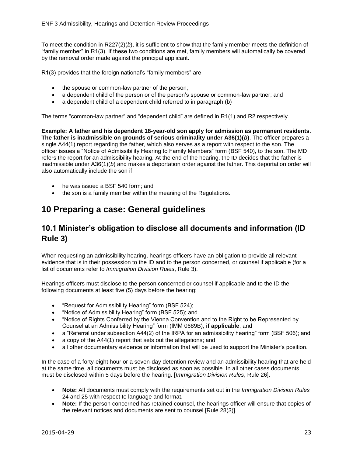To meet the condition in R227(2)(*b*), it is sufficient to show that the family member meets the definition of "family member" in R1(3). If these two conditions are met, family members will automatically be covered by the removal order made against the principal applicant.

R1(3) provides that the foreign national's "family members" are

- the spouse or common-law partner of the person;
- a dependent child of the person or of the person's spouse or common-law partner; and
- a dependent child of a dependent child referred to in paragraph (b)

The terms "common-law partner" and "dependent child" are defined in R1(1) and R2 respectively.

**Example: A father and his dependent 18-year-old son apply for admission as permanent residents. The father is inadmissible on grounds of serious criminality under A36(1)(***b***)**. The officer prepares a single A44(1) report regarding the father, which also serves as a report with respect to the son. The officer issues a "Notice of Admissibility Hearing to Family Members" form (BSF 540), to the son. The MD refers the report for an admissibility hearing. At the end of the hearing, the ID decides that the father is inadmissible under A36(1)(*b*) and makes a deportation order against the father. This deportation order will also automatically include the son if

- he was issued a BSF 540 form; and
- the son is a family member within the meaning of the Regulations.

# <span id="page-22-0"></span>**10 Preparing a case: General guidelines**

## <span id="page-22-1"></span>**10.1 Minister's obligation to disclose all documents and information (ID Rule 3)**

When requesting an admissibility hearing, hearings officers have an obligation to provide all relevant evidence that is in their possession to the ID and to the person concerned, or counsel if applicable (for a list of documents refer to *Immigration Division Rules*, Rule 3).

Hearings officers must disclose to the person concerned or counsel if applicable and to the ID the following documents at least five (5) days before the hearing:

- "Request for Admissibility Hearing" form (BSF 524);
- "Notice of Admissibility Hearing" form (BSF 525); and
- "Notice of Rights Conferred by the Vienna Convention and to the Right to be Represented by Counsel at an Admissibility Hearing" form (IMM 0689B), **if applicable**; and
- a "Referral under subsection A44(2) of the IRPA for an admissibility hearing" form (BSF 506); and
- a copy of the A44(1) report that sets out the allegations; and
- all other documentary evidence or information that will be used to support the Minister's position.

In the case of a forty-eight hour or a seven-day detention review and an admissibility hearing that are held at the same time, all documents must be disclosed as soon as possible. In all other cases documents must be disclosed within 5 days before the hearing. [*Immigration Division Rules*, Rule 26].

- **Note:** All documents must comply with the requirements set out in the *Immigration Division Rules* 24 and 25 with respect to language and format.
- **Note:** If the person concerned has retained counsel, the hearings officer will ensure that copies of the relevant notices and documents are sent to counsel [Rule 28(3)].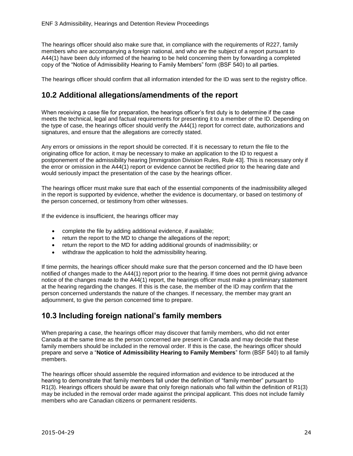The hearings officer should also make sure that, in compliance with the requirements of R227, family members who are accompanying a foreign national, and who are the subject of a report pursuant to A44(1) have been duly informed of the hearing to be held concerning them by forwarding a completed copy of the "Notice of Admissibility Hearing to Family Members" form (BSF 540) to all parties.

The hearings officer should confirm that all information intended for the ID was sent to the registry office.

## <span id="page-23-0"></span>**10.2 Additional allegations/amendments of the report**

When receiving a case file for preparation, the hearings officer's first duty is to determine if the case meets the technical, legal and factual requirements for presenting it to a member of the ID. Depending on the type of case, the hearings officer should verify the A44(1) report for correct date, authorizations and signatures, and ensure that the allegations are correctly stated.

Any errors or omissions in the report should be corrected. If it is necessary to return the file to the originating office for action, it may be necessary to make an application to the ID to request a postponement of the admissibility hearing [Immigration Division Rules, Rule 43]. This is necessary only if the error or omission in the A44(1) report or evidence cannot be rectified prior to the hearing date and would seriously impact the presentation of the case by the hearings officer.

The hearings officer must make sure that each of the essential components of the inadmissibility alleged in the report is supported by evidence, whether the evidence is documentary, or based on testimony of the person concerned, or testimony from other witnesses.

If the evidence is insufficient, the hearings officer may

- complete the file by adding additional evidence, if available;
- return the report to the MD to change the allegations of the report;
- return the report to the MD for adding additional grounds of inadmissibility; or
- withdraw the application to hold the admissibility hearing.

If time permits, the hearings officer should make sure that the person concerned and the ID have been notified of changes made to the A44(1) report prior to the hearing. If time does not permit giving advance notice of the changes made to the A44(1) report, the hearings officer must make a preliminary statement at the hearing regarding the changes. If this is the case, the member of the ID may confirm that the person concerned understands the nature of the changes. If necessary, the member may grant an adjournment, to give the person concerned time to prepare.

## <span id="page-23-1"></span>**10.3 Including foreign national's family members**

When preparing a case, the hearings officer may discover that family members, who did not enter Canada at the same time as the person concerned are present in Canada and may decide that these family members should be included in the removal order. If this is the case, the hearings officer should prepare and serve a "**Notice of Admissibility Hearing to Family Members**" form (BSF 540) to all family members.

The hearings officer should assemble the required information and evidence to be introduced at the hearing to demonstrate that family members fall under the definition of "family member" pursuant to R1(3). Hearings officers should be aware that only foreign nationals who fall within the definition of R1(3) may be included in the removal order made against the principal applicant. This does not include family members who are Canadian citizens or permanent residents.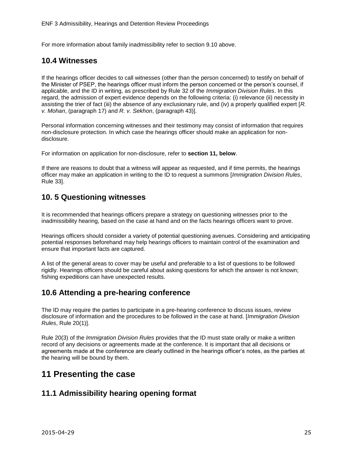For more information about family inadmissibility refer to section 9.10 above.

#### <span id="page-24-0"></span>**10.4 Witnesses**

If the hearings officer decides to call witnesses (other than the person concerned) to testify on behalf of the Minister of PSEP, the hearings officer must inform the person concerned or the person's counsel, if applicable, and the ID in writing, as prescribed by Rule 32 of the *Immigration Division Rules*. In this regard, the admission of expert evidence depends on the following criteria: (i) relevance (ii) necessity in assisting the trier of fact (iii) the absence of any exclusionary rule, and (iv) a properly qualified expert [*R. v. Mohan*, (paragraph 17) and *R. v. Sekhon*, (paragraph 43)].

Personal information concerning witnesses and their testimony may consist of information that requires non-disclosure protection. In which case the hearings officer should make an application for nondisclosure.

For information on application for non-disclosure, refer to **section 11, below**.

If there are reasons to doubt that a witness will appear as requested, and if time permits, the hearings officer may make an application in writing to the ID to request a summons [*Immigration Division Rules*, Rule 33].

#### <span id="page-24-1"></span>**10. 5 Questioning witnesses**

It is recommended that hearings officers prepare a strategy on questioning witnesses prior to the inadmissibility hearing, based on the case at hand and on the facts hearings officers want to prove.

Hearings officers should consider a variety of potential questioning avenues. Considering and anticipating potential responses beforehand may help hearings officers to maintain control of the examination and ensure that important facts are captured.

A list of the general areas to cover may be useful and preferable to a list of questions to be followed rigidly. Hearings officers should be careful about asking questions for which the answer is not known; fishing expeditions can have unexpected results.

## <span id="page-24-2"></span>**10.6 Attending a pre-hearing conference**

The ID may require the parties to participate in a pre-hearing conference to discuss issues, review disclosure of information and the procedures to be followed in the case at hand. [*Immigration Division Rules*, Rule 20(1)].

Rule 20(3) of the *Immigration Division Rules* provides that the ID must state orally or make a written record of any decisions or agreements made at the conference. It is important that all decisions or agreements made at the conference are clearly outlined in the hearings officer's notes, as the parties at the hearing will be bound by them.

## <span id="page-24-3"></span>**11 Presenting the case**

## <span id="page-24-4"></span>**11.1 Admissibility hearing opening format**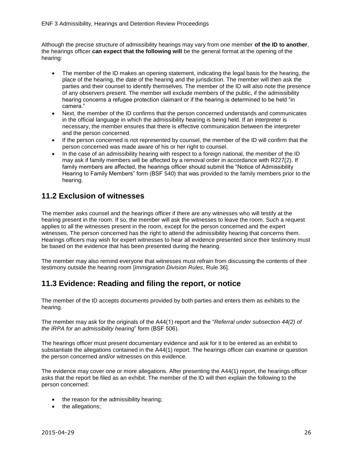Although the precise structure of admissibility hearings may vary from one member **of the ID to another**, the hearings officer **can expect that the following will** be the general format at the opening of the hearing:

- The member of the ID makes an opening statement, indicating the legal basis for the hearing, the place of the hearing, the date of the hearing and the jurisdiction. The member will then ask the parties and their counsel to identify themselves. The member of the ID will also note the presence of any observers present. The member will exclude members of the public, if the admissibility hearing concerns a refugee protection claimant or if the hearing is determined to be held "in camera."
- Next, the member of the ID confirms that the person concerned understands and communicates in the official language in which the admissibility hearing is being held. If an interpreter is necessary, the member ensures that there is effective communication between the interpreter and the person concerned.
- If the person concerned is not represented by counsel, the member of the ID will confirm that the person concerned was made aware of his or her right to counsel.
- In the case of an admissibility hearing with respect to a foreign national, the member of the ID may ask if family members will be affected by a removal order in accordance with R227(2). If family members are affected, the hearings officer should submit the "Notice of Admissibility Hearing to Family Members" form (BSF 540) that was provided to the family members prior to the hearing.

## <span id="page-25-0"></span>**11.2 Exclusion of witnesses**

The member asks counsel and the hearings officer if there are any witnesses who will testify at the hearing present in the room. If so, the member will ask the witnesses to leave the room. Such a request applies to all the witnesses present in the room, except for the person concerned and the expert witnesses. The person concerned has the right to attend the admissibility hearing that concerns them. Hearings officers may wish for expert witnesses to hear all evidence presented since their testimony must be based on the evidence that has been presented during the hearing.

The member may also remind everyone that witnesses must refrain from discussing the contents of their testimony outside the hearing room [*Immigration Division Rules*, Rule 36].

## <span id="page-25-1"></span>**11.3 Evidence: Reading and filing the report, or notice**

The member of the ID accepts documents provided by both parties and enters them as exhibits to the hearing.

The member may ask for the originals of the A44(1) report and the "*Referral under subsection 44(2) of the IRPA for an admissibility hearing*" form (BSF 506).

The hearings officer must present documentary evidence and ask for it to be entered as an exhibit to substantiate the allegations contained in the A44(1) report. The hearings officer can examine or question the person concerned and/or witnesses on this evidence.

The evidence may cover one or more allegations. After presenting the A44(1) report, the hearings officer asks that the report be filed as an exhibit. The member of the ID will then explain the following to the person concerned:

- the reason for the admissibility hearing;
- the allegations;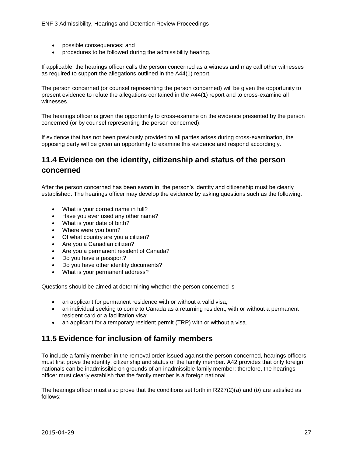- possible consequences; and
- procedures to be followed during the admissibility hearing.

If applicable, the hearings officer calls the person concerned as a witness and may call other witnesses as required to support the allegations outlined in the A44(1) report.

The person concerned (or counsel representing the person concerned) will be given the opportunity to present evidence to refute the allegations contained in the A44(1) report and to cross-examine all witnesses.

The hearings officer is given the opportunity to cross-examine on the evidence presented by the person concerned (or by counsel representing the person concerned).

If evidence that has not been previously provided to all parties arises during cross-examination, the opposing party will be given an opportunity to examine this evidence and respond accordingly.

## <span id="page-26-0"></span>**11.4 Evidence on the identity, citizenship and status of the person concerned**

After the person concerned has been sworn in, the person's identity and citizenship must be clearly established. The hearings officer may develop the evidence by asking questions such as the following:

- What is your correct name in full?
- Have you ever used any other name?
- What is your date of birth?
- Where were you born?
- Of what country are you a citizen?
- Are you a Canadian citizen?
- Are you a permanent resident of Canada?
- Do you have a passport?
- Do you have other identity documents?
- What is your permanent address?

Questions should be aimed at determining whether the person concerned is

- an applicant for permanent residence with or without a valid visa;
- an individual seeking to come to Canada as a returning resident, with or without a permanent resident card or a facilitation visa;
- an applicant for a temporary resident permit (TRP) with or without a visa.

## <span id="page-26-1"></span>**11.5 Evidence for inclusion of family members**

To include a family member in the removal order issued against the person concerned, hearings officers must first prove the identity, citizenship and status of the family member. A42 provides that only foreign nationals can be inadmissible on grounds of an inadmissible family member; therefore, the hearings officer must clearly establish that the family member is a foreign national.

The hearings officer must also prove that the conditions set forth in R227(2)(*a*) and (*b*) are satisfied as follows: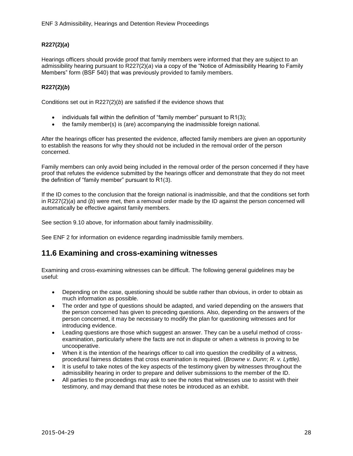#### **R227(2)(***a***)**

Hearings officers should provide proof that family members were informed that they are subject to an admissibility hearing pursuant to R227(2)(*a*) via a copy of the "Notice of Admissibility Hearing to Family Members" form (BSF 540) that was previously provided to family members.

#### **R227(2)(***b***)**

Conditions set out in R227(2)(*b*) are satisfied if the evidence shows that

- individuals fall within the definition of "family member" pursuant to R1(3);
- the family member(s) is (are) accompanying the inadmissible foreign national.

After the hearings officer has presented the evidence, affected family members are given an opportunity to establish the reasons for why they should not be included in the removal order of the person concerned.

Family members can only avoid being included in the removal order of the person concerned if they have proof that refutes the evidence submitted by the hearings officer and demonstrate that they do not meet the definition of "family member" pursuant to R1(3).

If the ID comes to the conclusion that the foreign national is inadmissible, and that the conditions set forth in R227(2)(*a*) and (*b*) were met, then a removal order made by the ID against the person concerned will automatically be effective against family members.

See section 9.10 above, for information about family inadmissibility.

See ENF 2 for information on evidence regarding inadmissible family members.

## <span id="page-27-0"></span>**11.6 Examining and cross-examining witnesses**

Examining and cross-examining witnesses can be difficult. The following general guidelines may be useful:

- Depending on the case, questioning should be subtle rather than obvious, in order to obtain as much information as possible.
- The order and type of questions should be adapted, and varied depending on the answers that the person concerned has given to preceding questions. Also, depending on the answers of the person concerned, it may be necessary to modify the plan for questioning witnesses and for introducing evidence.
- Leading questions are those which suggest an answer. They can be a useful method of crossexamination, particularly where the facts are not in dispute or when a witness is proving to be uncooperative.
- When it is the intention of the hearings officer to call into question the credibility of a witness, procedural fairness dictates that cross examination is required. (*Browne v. Dunn*; *R. v. Lyttle).*
- It is useful to take notes of the key aspects of the testimony given by witnesses throughout the admissibility hearing in order to prepare and deliver submissions to the member of the ID.
- All parties to the proceedings may ask to see the notes that witnesses use to assist with their testimony, and may demand that these notes be introduced as an exhibit.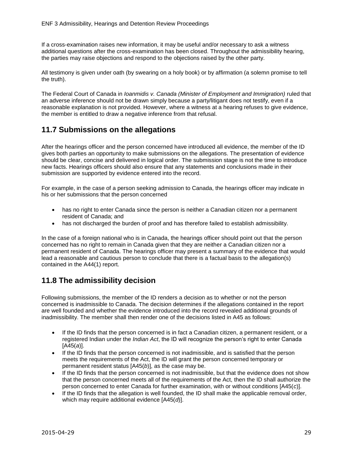If a cross-examination raises new information, it may be useful and/or necessary to ask a witness additional questions after the cross-examination has been closed. Throughout the admissibility hearing, the parties may raise objections and respond to the objections raised by the other party.

All testimony is given under oath (by swearing on a holy book) or by affirmation (a solemn promise to tell the truth).

The Federal Court of Canada in *Ioanmidis v. Canada (Minister of Employment and Immigration)* ruled that an adverse inference should not be drawn simply because a party/litigant does not testify, even if a reasonable explanation is not provided. However, where a witness at a hearing refuses to give evidence, the member is entitled to draw a negative inference from that refusal.

## <span id="page-28-0"></span>**11.7 Submissions on the allegations**

After the hearings officer and the person concerned have introduced all evidence, the member of the ID gives both parties an opportunity to make submissions on the allegations. The presentation of evidence should be clear, concise and delivered in logical order. The submission stage is not the time to introduce new facts. Hearings officers should also ensure that any statements and conclusions made in their submission are supported by evidence entered into the record.

For example, in the case of a person seeking admission to Canada, the hearings officer may indicate in his or her submissions that the person concerned

- has no right to enter Canada since the person is neither a Canadian citizen nor a permanent resident of Canada; and
- has not discharged the burden of proof and has therefore failed to establish admissibility.

In the case of a foreign national who is in Canada, the hearings officer should point out that the person concerned has no right to remain in Canada given that they are neither a Canadian citizen nor a permanent resident of Canada. The hearings officer may present a summary of the evidence that would lead a reasonable and cautious person to conclude that there is a factual basis to the allegation(s) contained in the A44(1) report.

## <span id="page-28-1"></span>**11.8 The admissibility decision**

Following submissions, the member of the ID renders a decision as to whether or not the person concerned is inadmissible to Canada. The decision determines if the allegations contained in the report are well founded and whether the evidence introduced into the record revealed additional grounds of inadmissibility. The member shall then render one of the decisions listed in A45 as follows:

- If the ID finds that the person concerned is in fact a Canadian citizen, a permanent resident, or a registered Indian under the *Indian Act*, the ID will recognize the person's right to enter Canada [A45(*a*)].
- If the ID finds that the person concerned is not inadmissible, and is satisfied that the person meets the requirements of the Act, the ID will grant the person concerned temporary or permanent resident status [A45(*b*)], as the case may be.
- If the ID finds that the person concerned is not inadmissible, but that the evidence does not show that the person concerned meets all of the requirements of the Act, then the ID shall authorize the person concerned to enter Canada for further examination, with or without conditions [A45(*c*)].
- If the ID finds that the allegation is well founded, the ID shall make the applicable removal order, which may require additional evidence [A45(*d*)].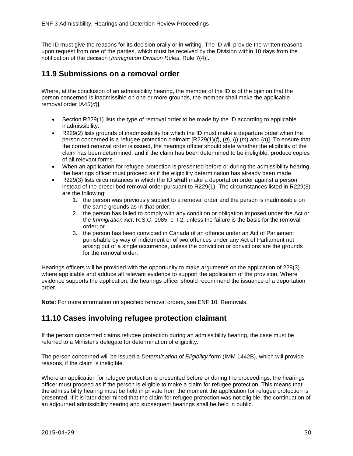The ID must give the reasons for its decision orally or in writing. The ID will provide the written reasons upon request from one of the parties, which must be received by the Division within 10 days from the notification of the decision [*Immigration Division Rules*, Rule 7(4)].

## <span id="page-29-0"></span>**11.9 Submissions on a removal order**

Where, at the conclusion of an admissibility hearing, the member of the ID is of the opinion that the person concerned is inadmissible on one or more grounds, the member shall make the applicable removal order [A45(*d*)].

- Section R229(1) lists the type of removal order to be made by the ID according to applicable inadmissibility.
- R229(2) lists grounds of inadmissibility for which the ID must make a departure order when the person concerned is a refugee protection claimant [R229(1)(*f*), (*g*), (*j*),(*m*) and (*n*)]. To ensure that the correct removal order is issued, the hearings officer should state whether the eligibility of the claim has been determined, and if the claim has been determined to be ineligible, produce copies of all relevant forms.
- When an application for refugee protection is presented before or during the admissibility hearing, the hearings officer must proceed as if the eligibility determination has already been made.
- R229(3) lists circumstances in which the ID **shall** make a deportation order against a person instead of the prescribed removal order pursuant to R229(1). The circumstances listed in R229(3) are the following:
	- 1. the person was previously subject to a removal order and the person is inadmissible on the same grounds as in that order:
	- 2. the person has failed to comply with any condition or obligation imposed under the Act or the *Immigration Act*, R.S.C. 1985, c. I-2, unless the failure is the basis for the removal order; or
	- 3. the person has been convicted in Canada of an offence under an Act of Parliament punishable by way of indictment or of two offences under any Act of Parliament not arising out of a single occurrence, unless the conviction or convictions are the grounds for the removal order.

Hearings officers will be provided with the opportunity to make arguments on the application of 229(3) where applicable and adduce all relevant evidence to support the application of the provision. Where evidence supports the application, the hearings officer should recommend the issuance of a deportation order.

**Note:** For more information on specified removal orders, see ENF 10, Removals.

## <span id="page-29-1"></span>**11.10 Cases involving refugee protection claimant**

If the person concerned claims refugee protection during an admissibility hearing, the case must be referred to a Minister's delegate for determination of eligibility.

The person concerned will be issued a *Determination of Eligibility* form (IMM 1442B), which will provide reasons, if the claim is ineligible.

Where an application for refugee protection is presented before or during the proceedings, the hearings officer must proceed as if the person is eligible to make a claim for refugee protection. This means that the admissibility hearing must be held in private from the moment the application for refugee protection is presented. If it is later determined that the claim for refugee protection was not eligible, the continuation of an adjourned admissibility hearing and subsequent hearings shall be held in public.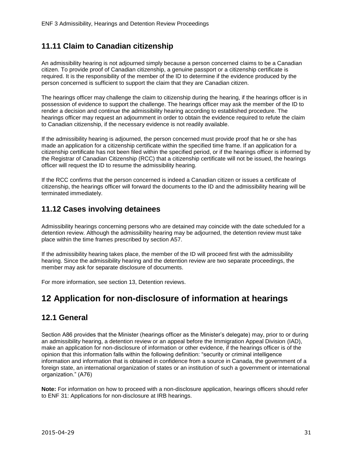## <span id="page-30-0"></span>**11.11 Claim to Canadian citizenship**

An admissibility hearing is not adjourned simply because a person concerned claims to be a Canadian citizen. To provide proof of Canadian citizenship, a genuine passport or a citizenship certificate is required. It is the responsibility of the member of the ID to determine if the evidence produced by the person concerned is sufficient to support the claim that they are Canadian citizen.

The hearings officer may challenge the claim to citizenship during the hearing, if the hearings officer is in possession of evidence to support the challenge. The hearings officer may ask the member of the ID to render a decision and continue the admissibility hearing according to established procedure. The hearings officer may request an adjournment in order to obtain the evidence required to refute the claim to Canadian citizenship, if the necessary evidence is not readily available.

If the admissibility hearing is adjourned, the person concerned must provide proof that he or she has made an application for a citizenship certificate within the specified time frame. If an application for a citizenship certificate has not been filed within the specified period, or if the hearings officer is informed by the Registrar of Canadian Citizenship (RCC) that a citizenship certificate will not be issued, the hearings officer will request the ID to resume the admissibility hearing.

If the RCC confirms that the person concerned is indeed a Canadian citizen or issues a certificate of citizenship, the hearings officer will forward the documents to the ID and the admissibility hearing will be terminated immediately.

## <span id="page-30-1"></span>**11.12 Cases involving detainees**

Admissibility hearings concerning persons who are detained may coincide with the date scheduled for a detention review. Although the admissibility hearing may be adjourned, the detention review must take place within the time frames prescribed by section A57.

If the admissibility hearing takes place, the member of the ID will proceed first with the admissibility hearing. Since the admissibility hearing and the detention review are two separate proceedings, the member may ask for separate disclosure of documents.

For more information, see section 13, Detention reviews.

# <span id="page-30-2"></span>**12 Application for non-disclosure of information at hearings**

## <span id="page-30-3"></span>**12.1 General**

Section A86 provides that the Minister (hearings officer as the Minister's delegate) may, prior to or during an admissibility hearing, a detention review or an appeal before the Immigration Appeal Division (IAD), make an application for non-disclosure of information or other evidence, if the hearings officer is of the opinion that this information falls within the following definition: "security or criminal intelligence information and information that is obtained in confidence from a source in Canada, the government of a foreign state, an international organization of states or an institution of such a government or international organization." (A76)

**Note:** For information on how to proceed with a non-disclosure application, hearings officers should refer to ENF 31: Applications for non-disclosure at IRB hearings.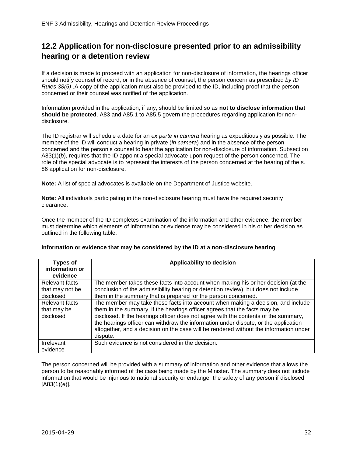## <span id="page-31-0"></span>**12.2 Application for non-disclosure presented prior to an admissibility hearing or a detention review**

If a decision is made to proceed with an application for non-disclosure of information, the hearings officer should notify counsel of record, or in the absence of counsel, the person concern as prescribed *by ID Rules 38(5)* .A copy of the application must also be provided to the ID, including proof that the person concerned or their counsel was notified of the application.

Information provided in the application, if any, should be limited so as **not to disclose information that should be protected**. A83 and A85.1 to A85.5 govern the procedures regarding application for nondisclosure.

The ID registrar will schedule a date for an *ex parte in camera* hearing as expeditiously as possible. The member of the ID will conduct a hearing in private (*in camera*) and in the absence of the person concerned and the person's counsel to hear the application for non-disclosure of information. Subsection A83(1)(*b*), requires that the ID appoint a special advocate upon request of the person concerned. The role of the special advocate is to represent the interests of the person concerned at the hearing of the s. 86 application for non-disclosure.

**Note:** A list of special advocates is available on the Department of Justice website.

**Note:** All individuals participating in the non-disclosure hearing must have the required security clearance.

Once the member of the ID completes examination of the information and other evidence, the member must determine which elements of information or evidence may be considered in his or her decision as outlined in the following table.

| <b>Types of</b><br>information or              | Applicability to decision                                                                                                                                                                                                                                                                                                                                                                                                                        |
|------------------------------------------------|--------------------------------------------------------------------------------------------------------------------------------------------------------------------------------------------------------------------------------------------------------------------------------------------------------------------------------------------------------------------------------------------------------------------------------------------------|
| evidence                                       |                                                                                                                                                                                                                                                                                                                                                                                                                                                  |
| Relevant facts<br>that may not be<br>disclosed | The member takes these facts into account when making his or her decision (at the<br>conclusion of the admissibility hearing or detention review), but does not include<br>them in the summary that is prepared for the person concerned.                                                                                                                                                                                                        |
| Relevant facts<br>that may be<br>disclosed     | The member may take these facts into account when making a decision, and include<br>them in the summary, if the hearings officer agrees that the facts may be<br>disclosed. If the hearings officer does not agree with the contents of the summary,<br>the hearings officer can withdraw the information under dispute, or the application<br>altogether, and a decision on the case will be rendered without the information under<br>dispute. |
| Irrelevant<br>evidence                         | Such evidence is not considered in the decision.                                                                                                                                                                                                                                                                                                                                                                                                 |

#### **Information or evidence that may be considered by the ID at a non-disclosure hearing**

The person concerned will be provided with a summary of information and other evidence that allows the person to be reasonably informed of the case being made by the Minister. The summary does not include information that would be injurious to national security or endanger the safety of any person if disclosed [A83(1)(*e*)].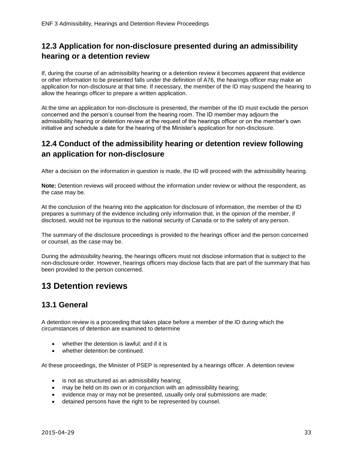## <span id="page-32-0"></span>**12.3 Application for non-disclosure presented during an admissibility hearing or a detention review**

If, during the course of an admissibility hearing or a detention review it becomes apparent that evidence or other information to be presented falls under the definition of A76, the hearings officer may make an application for non-disclosure at that time. If necessary, the member of the ID may suspend the hearing to allow the hearings officer to prepare a written application.

At the time an application for non-disclosure is presented, the member of the ID must exclude the person concerned and the person's counsel from the hearing room. The ID member may adjourn the admissibility hearing or detention review at the request of the hearings officer or on the member's own initiative and schedule a date for the hearing of the Minister's application for non-disclosure.

## <span id="page-32-1"></span>**12.4 Conduct of the admissibility hearing or detention review following an application for non-disclosure**

After a decision on the information in question is made, the ID will proceed with the admissibility hearing.

**Note:** Detention reviews will proceed without the information under review or without the respondent, as the case may be.

At the conclusion of the hearing into the application for disclosure of information, the member of the ID prepares a summary of the evidence including only information that, in the opinion of the member, if disclosed, would not be injurious to the national security of Canada or to the safety of any person.

The summary of the disclosure proceedings is provided to the hearings officer and the person concerned or counsel, as the case may be.

During the admissibility hearing, the hearings officers must not disclose information that is subject to the non-disclosure order. However, hearings officers may disclose facts that are part of the summary that has been provided to the person concerned.

# <span id="page-32-2"></span>**13 Detention reviews**

## <span id="page-32-3"></span>**13.1 General**

A detention review is a proceeding that takes place before a member of the ID during which the circumstances of detention are examined to determine

- whether the detention is lawful; and if it is
- whether detention be continued.

At these proceedings, the Minister of PSEP is represented by a hearings officer. A detention review

- is not as structured as an admissibility hearing;
- may be held on its own or in conjunction with an admissibility hearing:
- evidence may or may not be presented, usually only oral submissions are made;
- detained persons have the right to be represented by counsel.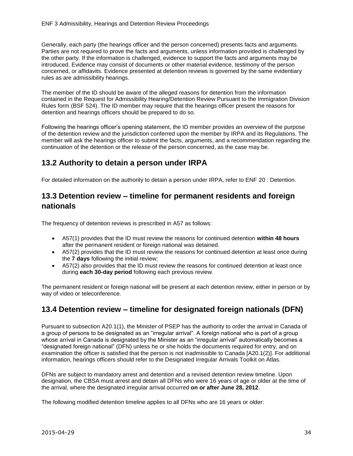Generally, each party (the hearings officer and the person concerned) presents facts and arguments. Parties are not required to prove the facts and arguments, unless information provided is challenged by the other party. If the information is challenged, evidence to support the facts and arguments may be introduced. Evidence may consist of documents or other material evidence, testimony of the person concerned, or affidavits. Evidence presented at detention reviews is governed by the same evidentiary rules as are admissibility hearings.

The member of the ID should be aware of the alleged reasons for detention from the information contained in the Request for Admissibility Hearing/Detention Review Pursuant to the Immigration Division Rules form (BSF 524). The ID member may require that the hearings officer present the reasons for detention and hearings officers should be prepared to do so.

Following the hearings officer's opening statement, the ID member provides an overview of the purpose of the detention review and the jurisdiction conferred upon the member by IRPA and its Regulations. The member will ask the hearings officer to submit the facts, arguments, and a recommendation regarding the continuation of the detention or the release of the person concerned, as the case may be.

## <span id="page-33-0"></span>**13.2 Authority to detain a person under IRPA**

For detailed information on the authority to detain a person under IRPA, refer to ENF 20 : Detention.

## <span id="page-33-1"></span>**13.3 Detention review – timeline for permanent residents and foreign nationals**

The frequency of detention reviews is prescribed in A57 as follows:

- A57(1) provides that the ID must review the reasons for continued detention **within 48 hours** after the permanent resident or foreign national was detained.
- A57(2) provides that the ID must review the reasons for continued detention at least once during the **7 days** following the initial review;
- A57(2) also provides that the ID must review the reasons for continued detention at least once during **each 30-day period** following each previous review.

The permanent resident or foreign national will be present at each detention review, either in person or by way of video or teleconference.

## <span id="page-33-2"></span>**13.4 Detention review – timeline for designated foreign nationals (DFN)**

Pursuant to subsection A20.1(1), the Minister of PSEP has the authority to order the arrival in Canada of a group of persons to be designated as an "irregular arrival". A foreign national who is part of a group whose arrival in Canada is designated by the Minister as an "irregular arrival" automatically becomes a "designated foreign national" (DFN) unless he or she holds the documents required for entry, and on examination the officer is satisfied that the person is not inadmissible to Canada [A20.1(2)]. For additional information, hearings officers should refer to the Designated Irregular Arrivals Toolkit on Atlas.

DFNs are subject to mandatory arrest and detention and a revised detention review timeline. Upon designation, the CBSA must arrest and detain all DFNs who were 16 years of age or older at the time of the arrival, where the designated irregular arrival occurred **on or after June 28, 2012**.

The following modified detention timeline applies to all DFNs who are 16 years or older: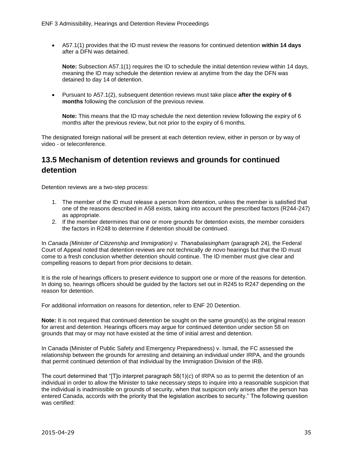A57.1(1) provides that the ID must review the reasons for continued detention **within 14 days** after a DFN was detained.

**Note:** Subsection A57.1(1) requires the ID to schedule the initial detention review within 14 days, meaning the ID may schedule the detention review at anytime from the day the DFN was detained to day 14 of detention.

 Pursuant to A57.1(2), subsequent detention reviews must take place **after the expiry of 6 months** following the conclusion of the previous review.

**Note:** This means that the ID may schedule the next detention review following the expiry of 6 months after the previous review, but not prior to the expiry of 6 months.

The designated foreign national will be present at each detention review, either in person or by way of video - or teleconference.

## <span id="page-34-0"></span>**13.5 Mechanism of detention reviews and grounds for continued detention**

Detention reviews are a two-step process:

- 1. The member of the ID must release a person from detention, unless the member is satisfied that one of the reasons described in A58 exists, taking into account the prescribed factors (R244-247) as appropriate.
- 2. If the member determines that one or more grounds for detention exists, the member considers the factors in R248 to determine if detention should be continued.

In *Canada (Minister of Citizenship and Immigration) v. Thanabalasingham (paragraph 24), the Federal* Court of Appeal noted that detention reviews are not technically *de novo* hearings but that the ID must come to a fresh conclusion whether detention should continue. The ID member must give clear and compelling reasons to depart from prior decisions to detain.

It is the role of hearings officers to present evidence to support one or more of the reasons for detention. In doing so, hearings officers should be guided by the factors set out in R245 to R247 depending on the reason for detention.

For additional information on reasons for detention, refer to ENF 20 Detention.

**Note:** It is not required that continued detention be sought on the same ground(s) as the original reason for arrest and detention. Hearings officers may argue for continued detention under section 58 on grounds that may or may not have existed at the time of initial arrest and detention.

In Canada (Minister of Public Safety and Emergency Preparedness) v. Ismail, the FC assessed the relationship between the grounds for arresting and detaining an individual under IRPA, and the grounds that permit continued detention of that individual by the Immigration Division of the IRB.

The court determined that "[T]o interpret paragraph 58(1)(*c*) of IRPA so as to permit the detention of an individual in order to allow the Minister to take necessary steps to inquire into a reasonable suspicion that the individual is inadmissible on grounds of security, when that suspicion only arises after the person has entered Canada, accords with the priority that the legislation ascribes to security." The following question was certified: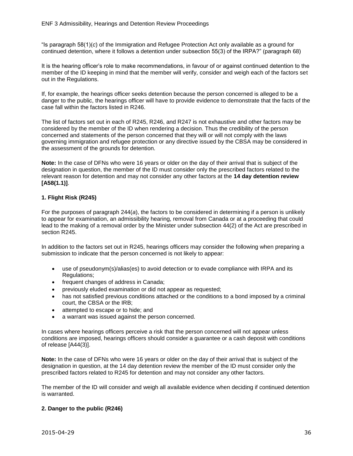"Is paragraph 58(1)(*c*) of the Immigration and Refugee Protection Act only available as a ground for continued detention, where it follows a detention under subsection 55(3) of the IRPA?" (paragraph 68)

It is the hearing officer's role to make recommendations, in favour of or against continued detention to the member of the ID keeping in mind that the member will verify, consider and weigh each of the factors set out in the Regulations.

If, for example, the hearings officer seeks detention because the person concerned is alleged to be a danger to the public, the hearings officer will have to provide evidence to demonstrate that the facts of the case fall within the factors listed in R246.

The list of factors set out in each of R245, R246, and R247 is not exhaustive and other factors may be considered by the member of the ID when rendering a decision. Thus the credibility of the person concerned and statements of the person concerned that they will or will not comply with the laws governing immigration and refugee protection or any directive issued by the CBSA may be considered in the assessment of the grounds for detention.

**Note:** In the case of DFNs who were 16 years or older on the day of their arrival that is subject of the designation in question, the member of the ID must consider only the prescribed factors related to the relevant reason for detention and may not consider any other factors at the **14 day detention review [A58(1.1)]**.

#### **1. Flight Risk (R245)**

For the purposes of paragraph 244(*a*), the factors to be considered in determining if a person is unlikely to appear for examination, an admissibility hearing, removal from Canada or at a proceeding that could lead to the making of a removal order by the Minister under subsection 44(2) of the Act are prescribed in section R245.

In addition to the factors set out in R245, hearings officers may consider the following when preparing a submission to indicate that the person concerned is not likely to appear:

- use of pseudonym(s)/alias(es) to avoid detection or to evade compliance with IRPA and its Regulations;
- frequent changes of address in Canada;
- previously eluded examination or did not appear as requested;
- has not satisfied previous conditions attached or the conditions to a bond imposed by a criminal court, the CBSA or the IRB;
- attempted to escape or to hide; and
- a warrant was issued against the person concerned.

In cases where hearings officers perceive a risk that the person concerned will not appear unless conditions are imposed, hearings officers should consider a guarantee or a cash deposit with conditions of release [A44(3)].

**Note:** In the case of DFNs who were 16 years or older on the day of their arrival that is subject of the designation in question, at the 14 day detention review the member of the ID must consider only the prescribed factors related to R245 for detention and may not consider any other factors.

The member of the ID will consider and weigh all available evidence when deciding if continued detention is warranted.

#### **2. Danger to the public (R246)**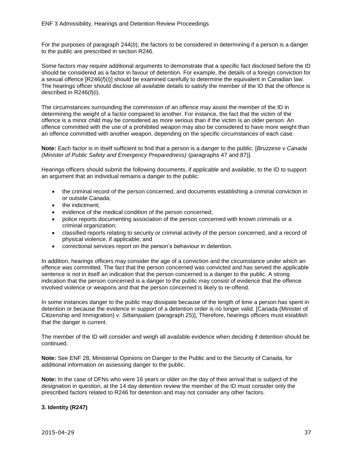For the purposes of paragraph 244(*b*), the factors to be considered in determining if a person is a danger to the public are prescribed in section R246.

Some factors may require additional arguments to demonstrate that a specific fact disclosed before the ID should be considered as a factor in favour of detention. For example, the details of a foreign conviction for a sexual offence [R246(*f*)(i)] should be examined carefully to determine the equivalent in Canadian law. The hearings officer should disclose all available details to satisfy the member of the ID that the offence is described in R246(*f*)(i).

The circumstances surrounding the commission of an offence may assist the member of the ID in determining the weight of a factor compared to another. For instance, the fact that the victim of the offence is a minor child may be considered as more serious than if the victim is an older person. An offence committed with the use of a prohibited weapon may also be considered to have more weight than an offence committed with another weapon, depending on the specific circumstances of each case.

**Note:** Each factor is in itself sufficient to find that a person is a danger to the public. [*Bruzzese v Canada (Minister of Public Safety and Emergency Preparedness)* (paragraphs 47 and 87)].

Hearings officers should submit the following documents, if applicable and available, to the ID to support an argument that an individual remains a danger to the public:

- the criminal record of the person concerned, and documents establishing a criminal conviction in or outside Canada;
- the indictment;
- evidence of the medical condition of the person concerned;
- police reports documenting association of the person concerned with known criminals or a criminal organization;
- classified reports relating to security or criminal activity of the person concerned, and a record of physical violence, if applicable; and
- correctional services report on the person's behaviour in detention.

In addition, hearings officers may consider the age of a conviction and the circumstance under which an offence was committed. The fact that the person concerned was convicted and has served the applicable sentence is not in itself an indication that the person concerned is a danger to the public. A strong indication that the person concerned is a danger to the public may consist of evidence that the offence involved violence or weapons and that the person concerned is likely to re-offend.

In some instances danger to the public may dissipate because of the length of time a person has spent in detention or because the evidence in support of a detention order is no longer valid. [Canada (Minister of Citizenship and Immigration) *v. Sittampalam* (paragraph 25)], Therefore, hearings officers must establish that the danger is current.

The member of the ID will consider and weigh all available evidence when deciding if detention should be continued.

**Note:** See ENF 28, Ministerial Opinions on Danger to the Public and to the Security of Canada, for additional information on assessing danger to the public.

**Note:** In the case of DFNs who were 16 years or older on the day of their arrival that is subject of the designation in question, at the 14 day detention review the member of the ID must consider only the prescribed factors related to R246 for detention and may not consider any other factors.

#### **3. Identity (R247)**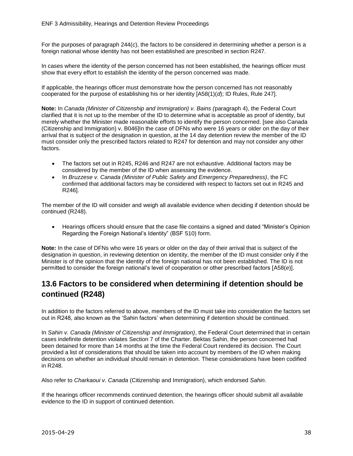For the purposes of paragraph 244(*c*), the factors to be considered in determining whether a person is a foreign national whose identity has not been established are prescribed in section R247.

In cases where the identity of the person concerned has not been established, the hearings officer must show that every effort to establish the identity of the person concerned was made.

If applicable, the hearings officer must demonstrate how the person concerned has not reasonably cooperated for the purpose of establishing his or her identity [A58(1)(*d*); ID Rules, Rule 247].

**Note:** In *Canada (Minister of Citizenship and Immigration) v. Bains (*paragraph 4), the Federal Court clarified that it is not up to the member of the ID to determine what is acceptable as proof of identity, but merely whether the Minister made reasonable efforts to identify the person concerned. [see also Canada (Citizenship and Immigration) v. B046]In the case of DFNs who were 16 years or older on the day of their arrival that is subject of the designation in question, at the 14 day detention review the member of the ID must consider only the prescribed factors related to R247 for detention and may not consider any other factors.

- The factors set out in R245, R246 and R247 are not exhaustive. Additional factors may be considered by the member of the ID when assessing the evidence.
- In *Bruzzese v. Canada (Minister of Public Safety and Emergency Preparedness)*, the FC confirmed that additional factors may be considered with respect to factors set out in R245 and R246].

The member of the ID will consider and weigh all available evidence when deciding if detention should be continued (R248).

 Hearings officers should ensure that the case file contains a signed and dated "Minister's Opinion Regarding the Foreign National's Identity" (BSF 510) form.

**Note:** In the case of DFNs who were 16 years or older on the day of their arrival that is subject of the designation in question, in reviewing detention on identity, the member of the ID must consider only if the Minister is of the opinion that the identity of the foreign national has not been established. The ID is not permitted to consider the foreign national's level of cooperation or other prescribed factors [A58(*e*)].

## <span id="page-37-0"></span>**13.6 Factors to be considered when determining if detention should be continued (R248)**

In addition to the factors referred to above, members of the ID must take into consideration the factors set out in R248, also known as the 'Sahin factors' when determining if detention should be continued.

In *Sahin v. Canada (Minister of Citizenship and Immigration)*, the Federal Court determined that in certain cases indefinite detention violates Section 7 of the Charter. Bektas Sahin, the person concerned had been detained for more than 14 months at the time the Federal Court rendered its decision. The Court provided a list of considerations that should be taken into account by members of the ID when making decisions on whether an individual should remain in detention. These considerations have been codified in R248.

Also refer to *Charkaoui v. Canada* (Citizenship and Immigration), which endorsed *Sahin*.

If the hearings officer recommends continued detention, the hearings officer should submit all available evidence to the ID in support of continued detention.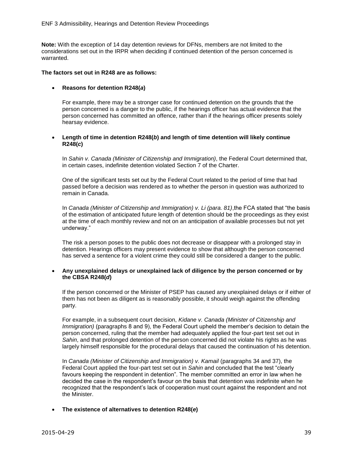**Note:** With the exception of 14 day detention reviews for DFNs, members are not limited to the considerations set out in the IRPR when deciding if continued detention of the person concerned is warranted.

#### **The factors set out in R248 are as follows:**

#### **Reasons for detention R248(***a***)**

For example, there may be a stronger case for continued detention on the grounds that the person concerned is a danger to the public, if the hearings officer has actual evidence that the person concerned has committed an offence, rather than if the hearings officer presents solely hearsay evidence.

#### **Length of time in detention R248(***b***) and length of time detention will likely continue R248(***c***)**

In *Sahin v. Canada (Minister of Citizenship and Immigration)*, the Federal Court determined that, in certain cases, indefinite detention violated Section 7 of the Charter.

One of the significant tests set out by the Federal Court related to the period of time that had passed before a decision was rendered as to whether the person in question was authorized to remain in Canada.

In *Canada (Minister of Citizenship and Immigration) v. Li (para. 81)*,the FCA stated that "the basis of the estimation of anticipated future length of detention should be the proceedings as they exist at the time of each monthly review and not on an anticipation of available processes but not yet underway."

The risk a person poses to the public does not decrease or disappear with a prolonged stay in detention. Hearings officers may present evidence to show that although the person concerned has served a sentence for a violent crime they could still be considered a danger to the public.

#### **Any unexplained delays or unexplained lack of diligence by the person concerned or by the CBSA R248(***d***)**

If the person concerned or the Minister of PSEP has caused any unexplained delays or if either of them has not been as diligent as is reasonably possible, it should weigh against the offending party.

For example, in a subsequent court decision, *Kidane v. Canada (Minister of Citizenship and Immigration*) (paragraphs 8 and 9), the Federal Court upheld the member's decision to detain the person concerned, ruling that the member had adequately applied the four-part test set out in *Sahin*, and that prolonged detention of the person concerned did not violate his rights as he was largely himself responsible for the procedural delays that caused the continuation of his detention.

In *Canada (Minister of Citizenship and Immigration) v. Kamail (paragraphs 34 and 37)*, the Federal Court applied the four-part test set out in *Sahin* and concluded that the test "clearly favours keeping the respondent in detention". The member committed an error in law when he decided the case in the respondent's favour on the basis that detention was indefinite when he recognized that the respondent's lack of cooperation must count against the respondent and not the Minister.

#### **The existence of alternatives to detention R248(***e***)**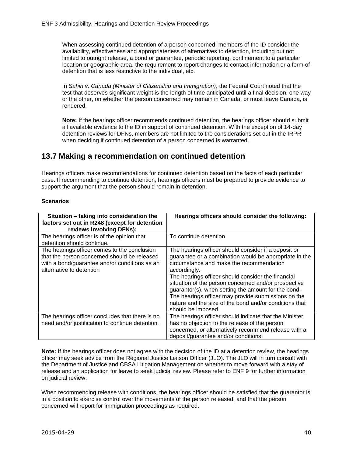When assessing continued detention of a person concerned, members of the ID consider the availability, effectiveness and appropriateness of alternatives to detention, including but not limited to outright release, a bond or guarantee, periodic reporting, confinement to a particular location or geographic area, the requirement to report changes to contact information or a form of detention that is less restrictive to the individual, etc.

In *Sahin v. Canada (Minister of Citizenship and Immigration)*, the Federal Court noted that the test that deserves significant weight is the length of time anticipated until a final decision, one way or the other, on whether the person concerned may remain in Canada, or must leave Canada, is rendered.

**Note:** If the hearings officer recommends continued detention, the hearings officer should submit all available evidence to the ID in support of continued detention. With the exception of 14-day detention reviews for DFNs, members are not limited to the considerations set out in the IRPR when deciding if continued detention of a person concerned is warranted.

## <span id="page-39-0"></span>**13.7 Making a recommendation on continued detention**

Hearings officers make recommendations for continued detention based on the facts of each particular case. If recommending to continue detention, hearings officers must be prepared to provide evidence to support the argument that the person should remain in detention.

#### **Scenarios**

| Situation - taking into consideration the<br>factors set out in R248 (except for detention<br>reviews involving DFNs):                                                    | Hearings officers should consider the following:                                                                                                                                                                                                                                                                                                                                                                                                                                       |
|---------------------------------------------------------------------------------------------------------------------------------------------------------------------------|----------------------------------------------------------------------------------------------------------------------------------------------------------------------------------------------------------------------------------------------------------------------------------------------------------------------------------------------------------------------------------------------------------------------------------------------------------------------------------------|
| The hearings officer is of the opinion that<br>detention should continue.                                                                                                 | To continue detention                                                                                                                                                                                                                                                                                                                                                                                                                                                                  |
| The hearings officer comes to the conclusion<br>that the person concerned should be released<br>with a bond/guarantee and/or conditions as an<br>alternative to detention | The hearings officer should consider if a deposit or<br>guarantee or a combination would be appropriate in the<br>circumstance and make the recommendation<br>accordingly.<br>The hearings officer should consider the financial<br>situation of the person concerned and/or prospective<br>guarantor(s), when setting the amount for the bond.<br>The hearings officer may provide submissions on the<br>nature and the size of the bond and/or conditions that<br>should be imposed. |
| The hearings officer concludes that there is no<br>need and/or justification to continue detention.                                                                       | The hearings officer should indicate that the Minister<br>has no objection to the release of the person<br>concerned, or alternatively recommend release with a<br>deposit/guarantee and/or conditions.                                                                                                                                                                                                                                                                                |

**Note:** If the hearings officer does not agree with the decision of the ID at a detention review, the hearings officer may seek advice from the Regional Justice Liaison Officer (JLO). The JLO will in turn consult with the Department of Justice and CBSA Litigation Management on whether to move forward with a stay of release and an application for leave to seek judicial review. Please refer to ENF 9 for further information on judicial review.

When recommending release with conditions, the hearings officer should be satisfied that the guarantor is in a position to exercise control over the movements of the person released, and that the person concerned will report for immigration proceedings as required.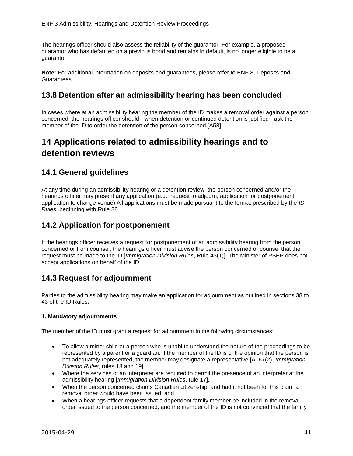The hearings officer should also assess the reliability of the guarantor. For example, a proposed guarantor who has defaulted on a previous bond and remains in default, is no longer eligible to be a guarantor.

**Note:** For additional information on deposits and guarantees, please refer to ENF 8, Deposits and Guarantees.

#### <span id="page-40-0"></span>**13.8 Detention after an admissibility hearing has been concluded**

In cases where at an admissibility hearing the member of the ID makes a removal order against a person concerned, the hearings officer should - when detention or continued detention is justified - ask the member of the ID to order the detention of the person concerned [A58].

# <span id="page-40-1"></span>**14 Applications related to admissibility hearings and to detention reviews**

## <span id="page-40-2"></span>**14.1 General guidelines**

At any time during an admissibility hearing or a detention review, the person concerned and/or the hearings officer may present any application (e.g., request to adjourn, application for postponement, application to change venue) All applications must be made pursuant to the format prescribed by the *ID Rules,* beginning with Rule 38.

## <span id="page-40-3"></span>**14.2 Application for postponement**

If the hearings officer receives a request for postponement of an admissibility hearing from the person concerned or from counsel, the hearings officer must advise the person concerned or counsel that the request must be made to the ID [*Immigration Division Rules*, Rule 43(1)]. The Minister of PSEP does not accept applications on behalf of the ID.

## <span id="page-40-4"></span>**14.3 Request for adjournment**

Parties to the admissibility hearing may make an application for adjournment as outlined in sections 38 to 43 of the ID Rules.

#### **1. Mandatory adjournments**

The member of the ID must grant a request for adjournment in the following circumstances:

- To allow a minor child or a person who is unabl to understand the nature of the proceedings to be represented by a parent or a guardian. If the member of the ID is of the opinion that the person is not adequately represented, the member may designate a representative [A167(2); *Immigration Division Rules*, rules 18 and 19].
- Where the services of an interpreter are required to permit the presence of an interpreter at the admissibility hearing [*Immigration Division Rules*, rule 17].
- When the person concerned claims Canadian citizenship, and had it not been for this claim a removal order would have been issued; and
- When a hearings officer requests that a dependent family member be included in the removal order issued to the person concerned, and the member of the ID is not convinced that the family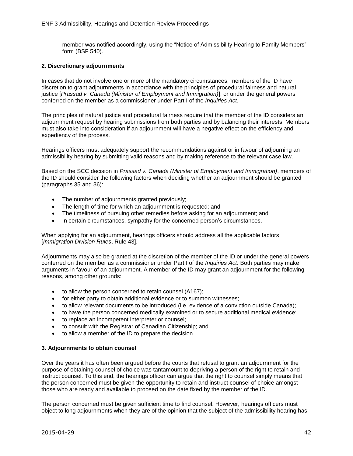member was notified accordingly, using the "Notice of Admissibility Hearing to Family Members" form (BSF 540).

#### **2. Discretionary adjournments**

In cases that do not involve one or more of the mandatory circumstances, members of the ID have discretion to grant adjournments in accordance with the principles of procedural fairness and natural justice [*Prassad v. Canada (Minister of Employment and Immigration)*], or under the general powers conferred on the member as a commissioner under Part I of the *Inquiries Act.*

The principles of natural justice and procedural fairness require that the member of the ID considers an adjournment request by hearing submissions from both parties and by balancing their interests. Members must also take into consideration if an adjournment will have a negative effect on the efficiency and expediency of the process.

Hearings officers must adequately support the recommendations against or in favour of adjourning an admissibility hearing by submitting valid reasons and by making reference to the relevant case law.

Based on the SCC decision in *Prassad v. Canada (Minister of Employment and Immigration)*, members of the ID should consider the following factors when deciding whether an adjournment should be granted (paragraphs 35 and 36):

- The number of adjournments granted previously;
- The length of time for which an adjournment is requested; and
- The timeliness of pursuing other remedies before asking for an adjournment; and
- In certain circumstances, sympathy for the concerned person's circumstances.

When applying for an adjournment, hearings officers should address all the applicable factors [*Immigration Division Rules*, Rule 43].

Adjournments may also be granted at the discretion of the member of the ID or under the general powers conferred on the member as a commissioner under Part I of the *Inquiries Act*. Both parties may make arguments in favour of an adjournment. A member of the ID may grant an adjournment for the following reasons, among other grounds:

- to allow the person concerned to retain counsel (A167);
- for either party to obtain additional evidence or to summon witnesses:
- to allow relevant documents to be introduced (i.e. evidence of a conviction outside Canada);
- to have the person concerned medically examined or to secure additional medical evidence;
- to replace an incompetent interpreter or counsel;
- to consult with the Registrar of Canadian Citizenship; and
- to allow a member of the ID to prepare the decision.

#### **3. Adjournments to obtain counsel**

Over the years it has often been argued before the courts that refusal to grant an adjournment for the purpose of obtaining counsel of choice was tantamount to depriving a person of the right to retain and instruct counsel. To this end, the hearings officer can argue that the right to counsel simply means that the person concerned must be given the opportunity to retain and instruct counsel of choice amongst those who are ready and available to proceed on the date fixed by the member of the ID.

The person concerned must be given sufficient time to find counsel. However, hearings officers must object to long adjournments when they are of the opinion that the subject of the admissibility hearing has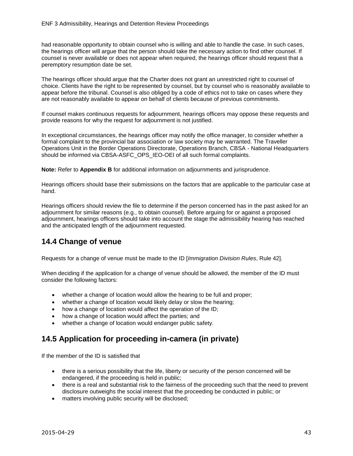had reasonable opportunity to obtain counsel who is willing and able to handle the case. In such cases, the hearings officer will argue that the person should take the necessary action to find other counsel. If counsel is never available or does not appear when required, the hearings officer should request that a peremptory resumption date be set.

The hearings officer should argue that the Charter does not grant an unrestricted right to counsel of choice. Clients have the right to be represented by counsel, but by counsel who is reasonably available to appear before the tribunal. Counsel is also obliged by a code of ethics not to take on cases where they are not reasonably available to appear on behalf of clients because of previous commitments.

If counsel makes continuous requests for adjournment, hearings officers may oppose these requests and provide reasons for why the request for adjournment is not justified.

In exceptional circumstances, the hearings officer may notify the office manager, to consider whether a formal complaint to the provincial bar association or law society may be warranted. The Traveller Operations Unit in the Border Operations Directorate, Operations Branch, CBSA - National Headquarters should be informed via CBSA-ASFC\_OPS\_IEO-OEI of all such formal complaints.

**Note:** Refer to **Appendix B** for additional information on adjournments and jurisprudence.

Hearings officers should base their submissions on the factors that are applicable to the particular case at hand.

Hearings officers should review the file to determine if the person concerned has in the past asked for an adjournment for similar reasons (e.g., to obtain counsel). Before arguing for or against a proposed adjournment, hearings officers should take into account the stage the admissibility hearing has reached and the anticipated length of the adjournment requested.

## <span id="page-42-0"></span>**14.4 Change of venue**

Requests for a change of venue must be made to the ID [*Immigration Division Rules*, Rule 42].

When deciding if the application for a change of venue should be allowed, the member of the ID must consider the following factors:

- whether a change of location would allow the hearing to be full and proper;
- whether a change of location would likely delay or slow the hearing;
- how a change of location would affect the operation of the ID;
- how a change of location would affect the parties; and
- whether a change of location would endanger public safety.

## <span id="page-42-1"></span>**14.5 Application for proceeding in-camera (in private)**

If the member of the ID is satisfied that

- there is a serious possibility that the life, liberty or security of the person concerned will be endangered, if the proceeding is held in public;
- there is a real and substantial risk to the fairness of the proceeding such that the need to prevent disclosure outweighs the social interest that the proceeding be conducted in public; or
- matters involving public security will be disclosed;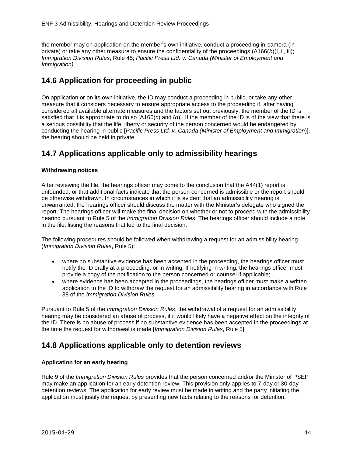the member may on application on the member's own initiative, conduct a proceeding in-camera (in private) or take any other measure to ensure the confidentiality of the proceedings (A166(*b*)(I, ii, iii); *Immigration Division Rules*, Rule 45; *Pacific Press Ltd. v. Canada (Minister of Employment and Immigration).*

## <span id="page-43-0"></span>**14.6 Application for proceeding in public**

On application or on its own initiative, the ID may conduct a proceeding in public, or take any other measure that it considers necessary to ensure appropriate access to the proceeding if, after having considered all available alternate measures and the factors set out previously, the member of the ID is satisfied that it is appropriate to do so [A166(*c*) and (*d*)]. If the member of the ID is of the view that there is a serious possibility that the life, liberty or security of the person concerned would be endangered by conducting the hearing in public [*Pacific Press Ltd. v. Canada (Minister of Employment and Immigration*)], the hearing should be held in private.

## <span id="page-43-1"></span>**14.7 Applications applicable only to admissibility hearings**

#### **Withdrawing notices**

After reviewing the file, the hearings officer may come to the conclusion that the A44(1) report is unfounded, or that additional facts indicate that the person concerned is admissible or the report should be otherwise withdrawn. In circumstances in which it is evident that an admissibility hearing is unwarranted, the hearings officer should discuss the matter with the Minister's delegate who signed the report. The hearings officer will make the final decision on whether or not to proceed with the admissibility hearing pursuant to Rule 5 of the *Immigration Division Rules*. The hearings officer should include a note in the file, listing the reasons that led to the final decision.

The following procedures should be followed when withdrawing a request for an admissibility hearing (*Immigration Division Rules*, Rule 5):

- where no substantive evidence has been accepted in the proceeding, the hearings officer must notify the ID orally at a proceeding, or in writing. If notifying in writing, the hearings officer must provide a copy of the notification to the person concerned or counsel if applicable;
- where evidence has been accepted in the proceedings, the hearings officer must make a written application to the ID to withdraw the request for an admissibility hearing in accordance with Rule 38 of the *Immigration Division Rules*.

Pursuant to Rule 5 of the *Immigration Division Rules*, the withdrawal of a request for an admissibility hearing may be considered an abuse of process, if it would likely have a negative effect on the integrity of the ID. There is no abuse of process if no substantive evidence has been accepted in the proceedings at the time the request for withdrawal is made [*Immigration Division Rules*, Rule 5].

## <span id="page-43-2"></span>**14.8 Applications applicable only to detention reviews**

#### **Application for an early hearing**

Rule 9 of the *Immigration Division Rules* provides that the person concerned and/or the Minister of PSEP may make an application for an early detention review. This provision only applies to 7-day or 30-day detention reviews. The application for early review must be made in writing and the party initiating the application must justify the request by presenting new facts relating to the reasons for detention.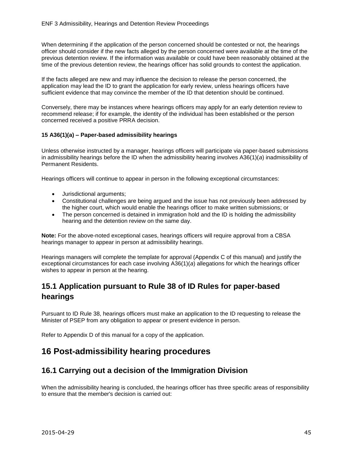When determining if the application of the person concerned should be contested or not, the hearings officer should consider if the new facts alleged by the person concerned were available at the time of the previous detention review. If the information was available or could have been reasonably obtained at the time of the previous detention review, the hearings officer has solid grounds to contest the application.

If the facts alleged are new and may influence the decision to release the person concerned, the application may lead the ID to grant the application for early review, unless hearings officers have sufficient evidence that may convince the member of the ID that detention should be continued.

Conversely, there may be instances where hearings officers may apply for an early detention review to recommend release; if for example, the identity of the individual has been established or the person concerned received a positive PRRA decision.

#### <span id="page-44-0"></span>**15 A36(1)(a) – Paper-based admissibility hearings**

Unless otherwise instructed by a manager, hearings officers will participate via paper-based submissions in admissibility hearings before the ID when the admissibility hearing involves A36(1)(*a*) inadmissibility of Permanent Residents.

Hearings officers will continue to appear in person in the following exceptional circumstances:

- Jurisdictional arguments;
- Constitutional challenges are being argued and the issue has not previously been addressed by the higher court, which would enable the hearings officer to make written submissions; or
- The person concerned is detained in immigration hold and the ID is holding the admissibility hearing and the detention review on the same day.

**Note:** For the above-noted exceptional cases, hearings officers will require approval from a CBSA hearings manager to appear in person at admissibility hearings.

Hearings managers will complete the template for approval (Appendix C of this manual) and justify the exceptional circumstances for each case involving A36(1)(*a*) allegations for which the hearings officer wishes to appear in person at the hearing.

# <span id="page-44-1"></span>**15.1 Application pursuant to Rule 38 of ID Rules for paper-based hearings**

Pursuant to ID Rule 38, hearings officers must make an application to the ID requesting to release the Minister of PSEP from any obligation to appear or present evidence in person.

Refer to Appendix D of this manual for a copy of the application.

# <span id="page-44-2"></span>**16 Post-admissibility hearing procedures**

## <span id="page-44-3"></span>**16.1 Carrying out a decision of the Immigration Division**

When the admissibility hearing is concluded, the hearings officer has three specific areas of responsibility to ensure that the member's decision is carried out: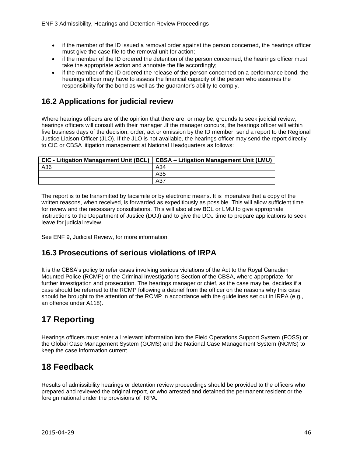- if the member of the ID issued a removal order against the person concerned, the hearings officer must give the case file to the removal unit for action;
- if the member of the ID ordered the detention of the person concerned, the hearings officer must take the appropriate action and annotate the file accordingly;
- if the member of the ID ordered the release of the person concerned on a performance bond, the hearings officer may have to assess the financial capacity of the person who assumes the responsibility for the bond as well as the guarantor's ability to comply.

## <span id="page-45-0"></span>**16.2 Applications for judicial review**

Where hearings officers are of the opinion that there are, or may be, grounds to seek judicial review, hearings officers will consult with their manager .If the manager concurs, the hearings officer will within five business days of the decision, order, act or omission by the ID member, send a report to the Regional Justice Liaison Officer (JLO). If the JLO is not available, the hearings officer may send the report directly to CIC or CBSA litigation management at National Headquarters as follows:

|     | CIC - Litigation Management Unit (BCL)   CBSA - Litigation Management Unit (LMU) |
|-----|----------------------------------------------------------------------------------|
| A36 | A34                                                                              |
|     | A35                                                                              |
|     | A37                                                                              |

The report is to be transmitted by facsimile or by electronic means. It is imperative that a copy of the written reasons, when received, is forwarded as expeditiously as possible. This will allow sufficient time for review and the necessary consultations. This will also allow BCL or LMU to give appropriate instructions to the Department of Justice (DOJ) and to give the DOJ time to prepare applications to seek leave for judicial review.

See ENF 9, Judicial Review, for more information.

## <span id="page-45-1"></span>**16.3 Prosecutions of serious violations of IRPA**

It is the CBSA's policy to refer cases involving serious violations of the Act to the Royal Canadian Mounted Police (RCMP) or the Criminal Investigations Section of the CBSA, where appropriate, for further investigation and prosecution. The hearings manager or chief, as the case may be, decides if a case should be referred to the RCMP following a debrief from the officer on the reasons why this case should be brought to the attention of the RCMP in accordance with the guidelines set out in IRPA (e.g., an offence under A118).

# <span id="page-45-2"></span>**17 Reporting**

Hearings officers must enter all relevant information into the Field Operations Support System (FOSS) or the Global Case Management System (GCMS) and the National Case Management System (NCMS) to keep the case information current.

# <span id="page-45-3"></span>**18 Feedback**

Results of admissibility hearings or detention review proceedings should be provided to the officers who prepared and reviewed the original report, or who arrested and detained the permanent resident or the foreign national under the provisions of IRPA.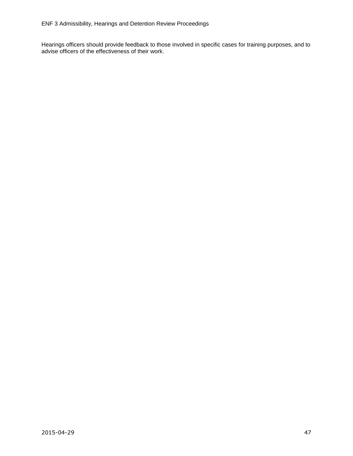Hearings officers should provide feedback to those involved in specific cases for training purposes, and to advise officers of the effectiveness of their work.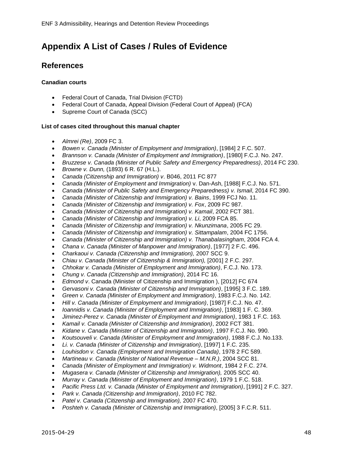# <span id="page-47-0"></span>**Appendix A List of Cases / Rules of Evidence**

## **References**

#### **Canadian courts**

- Federal Court of Canada, Trial Division (FCTD)
- Federal Court of Canada, Appeal Division (Federal Court of Appeal) (FCA)
- Supreme Court of Canada (SCC)

#### **List of cases cited throughout this manual chapter**

- *Almrei (Re)*, 2009 FC 3.
- *Bowen v. Canada (Minister of Employment and Immigration)*, [1984] 2 F.C. 507.
- *Brannson v. Canada (Minister of Employment and Immigration)*, [1980] F.C.J. No. 247.
- *Bruzzese v. Canada (Minister of Public Safety and Emergency Preparedness)*, 2014 FC 230.
- *Browne v. Dunn,* (1893) 6 R. 67 (H.L.).
- *Canada (Citizenship and Immigration) v*. B046, 2011 FC 877
- *Canada (Minister of Employment and Immigration)* v. Dan-Ash, [1988] F.C.J. No. 571.
- *Canada (Minister of Public Safety and Emergency Preparedness) v. Ismail*, 2014 FC 390.
- *Canada (Minister of Citizenship and Immigration) v. Bains*, 1999 FCJ No. 11.
- *Canada (Minister of Citizenship and Immigration) v. Fox*, 2009 FC 987.
- *Canada (Minister of Citizenship and Immigration) v. Kamail*, 2002 FCT 381.
- *Canada (Minister of Citizenship and Immigration) v. Li*, 2009 FCA 85.
- *Canada (Minister of Citizenship and Immigration) v. Nkunzimana*, 2005 FC 29.
- *Canada (Minister of Citizenship and Immigration) v. Sittampalam*, 2004 FC 1756.
- *Canada (Minister of Citizenship and Immigration) v. Thanabalasingham*, 2004 FCA 4.
- *Chana v. Canada (Minister of Manpower and Immigration)*, [1977] 2 F.C. 496.
- *Charkaoui v. Canada (Citizenship and Immigration),* 2007 SCC 9.
- *Chiau v. Canada (Minister of Citizenship & Immigration),* [2001] 2 F.C. 297.
- *Chhokar v. Canada (Minister of Employment and Immigration)*, F.C.J. No. 173.
- *Chung v. Canada (Citizenship and Immigration)*, 2014 FC 16.
- *Edmond v*. Canada (Minister of Citizenship and Immigration ), [2012] FC 674
- *Gervasoni v. Canada (Minister of Citizenship and Immigration)*, [1995] 3 F.C. 189.
- *Green v. Canada (Minister of Employment and Immigration)*, 1983 F.C.J. No. 142.
- *Hill v. Canada (Minister of Employment and Immigration)*, [1987] F.C.J. No. 47.
- *Ioannidis v. Canada (Minister of Employment and Immigration)*, [1983] 1 F. C. 369.
- *Jiminez-Perez v. Canada (Minister of Employment and Immigration)*, 1983 1 F.C. 163.
- *Kamail v. Canada (Minister of Citizenship and Immigration)*, 2002 FCT 381.
- *Kidane v. Canada (Minister of Citizenship and Immigration)*, 1997 F.C.J. No. 990.
- *Koutsouveli v. Canada (Minister of Employment and Immigration)*, 1988 F.C.J. No.133.
- *Li. v. Canada (Minister of Citizenship and Immigration)*, [1997] 1 F.C. 235.
- *Louhisdon v. Canada (Employment and Immigration Canada)*, 1978 2 FC 589.
- *Martineau v. Canada (Minister of National Revenue – M.N.R.)*, 2004 SCC 81.
- *Canada (Minister of Employment and Immigration) v. Widmont*, 1984 2 F.C. 274.
- *Mugasera v. Canada (Minister of Citizenship and Immigration),* 2005 SCC 40.
- *Murray v. Canada (Minister of Employment and Immigration)*, 1979 1 F.C. 518.
- *Pacific Press Ltd. v. Canada (Minister of Employment and Immigration)*, [1991] 2 F.C. 327.
- *Park v. Canada (Citizenship and Immigration)*, 2010 FC 782.
- *Patel v. Canada (Citizenship and Immigration),* 2007 FC 470.
- *Poshteh v. Canada (Minister of Citizenship and Immigration)*, [2005] 3 F.C.R. 511.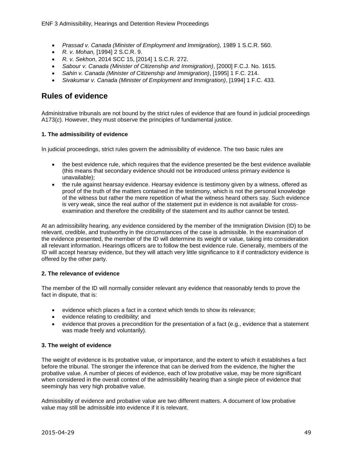- *Prassad v. Canada (Minister of Employment and Immigration),* 1989 1 S.C.R. 560.
- *R. v. Mohan,* [1994] 2 S.C.R. 9.
- *R. v. Sekhon*, 2014 SCC 15, [2014] 1 S.C.R. 272.
- *Sabour v. Canada (Minister of Citizenship and Immigration)*, [2000] F.C.J. No. 1615.
- *Sahin v. Canada (Minister of Citizenship and Immigration)*, [1995] 1 F.C. 214.
- *Sivakumar v. Canada (Minister of Employment and Immigration)*, [1994] 1 F.C. 433.

#### **Rules of evidence**

Administrative tribunals are not bound by the strict rules of evidence that are found in judicial proceedings A173(*c*). However, they must observe the principles of fundamental justice.

#### **1. The admissibility of evidence**

In judicial proceedings, strict rules govern the admissibility of evidence. The two basic rules are

- the best evidence rule, which requires that the evidence presented be the best evidence available (this means that secondary evidence should not be introduced unless primary evidence is unavailable);
- the rule against hearsay evidence. Hearsay evidence is testimony given by a witness, offered as proof of the truth of the matters contained in the testimony, which is not the personal knowledge of the witness but rather the mere repetition of what the witness heard others say. Such evidence is very weak, since the real author of the statement put in evidence is not available for crossexamination and therefore the credibility of the statement and its author cannot be tested.

At an admissibility hearing, any evidence considered by the member of the Immigration Division (ID) to be relevant, credible, and trustworthy in the circumstances of the case is admissible. In the examination of the evidence presented, the member of the ID will determine its weight or value, taking into consideration all relevant information. Hearings officers are to follow the best evidence rule. Generally, members of the ID will accept hearsay evidence, but they will attach very little significance to it if contradictory evidence is offered by the other party.

#### **2. The relevance of evidence**

The member of the ID will normally consider relevant any evidence that reasonably tends to prove the fact in dispute, that is:

- evidence which places a fact in a context which tends to show its relevance;
- evidence relating to credibility; and
- evidence that proves a precondition for the presentation of a fact (e.g., evidence that a statement was made freely and voluntarily).

#### **3. The weight of evidence**

The weight of evidence is its probative value, or importance, and the extent to which it establishes a fact before the tribunal. The stronger the inference that can be derived from the evidence, the higher the probative value. A number of pieces of evidence, each of low probative value, may be more significant when considered in the overall context of the admissibility hearing than a single piece of evidence that seemingly has very high probative value.

Admissibility of evidence and probative value are two different matters. A document of low probative value may still be admissible into evidence if it is relevant.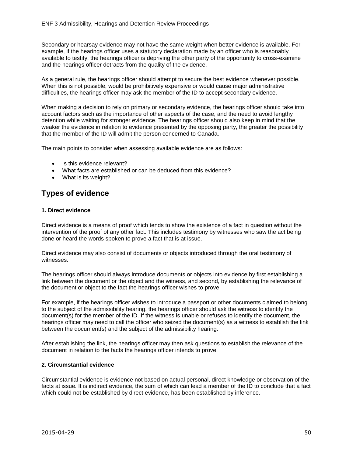Secondary or hearsay evidence may not have the same weight when better evidence is available. For example, if the hearings officer uses a statutory declaration made by an officer who is reasonably available to testify, the hearings officer is depriving the other party of the opportunity to cross-examine and the hearings officer detracts from the quality of the evidence.

As a general rule, the hearings officer should attempt to secure the best evidence whenever possible. When this is not possible, would be prohibitively expensive or would cause major administrative difficulties, the hearings officer may ask the member of the ID to accept secondary evidence.

When making a decision to rely on primary or secondary evidence, the hearings officer should take into account factors such as the importance of other aspects of the case, and the need to avoid lengthy detention while waiting for stronger evidence. The hearings officer should also keep in mind that the weaker the evidence in relation to evidence presented by the opposing party, the greater the possibility that the member of the ID will admit the person concerned to Canada.

The main points to consider when assessing available evidence are as follows:

- Is this evidence relevant?
- What facts are established or can be deduced from this evidence?
- What is its weight?

## **Types of evidence**

#### **1. Direct evidence**

Direct evidence is a means of proof which tends to show the existence of a fact in question without the intervention of the proof of any other fact. This includes testimony by witnesses who saw the act being done or heard the words spoken to prove a fact that is at issue.

Direct evidence may also consist of documents or objects introduced through the oral testimony of witnesses.

The hearings officer should always introduce documents or objects into evidence by first establishing a link between the document or the object and the witness, and second, by establishing the relevance of the document or object to the fact the hearings officer wishes to prove.

For example, if the hearings officer wishes to introduce a passport or other documents claimed to belong to the subject of the admissibility hearing, the hearings officer should ask the witness to identify the document(s) for the member of the ID. If the witness is unable or refuses to identify the document, the hearings officer may need to call the officer who seized the document(s) as a witness to establish the link between the document(s) and the subject of the admissibility hearing.

After establishing the link, the hearings officer may then ask questions to establish the relevance of the document in relation to the facts the hearings officer intends to prove.

#### **2. Circumstantial evidence**

Circumstantial evidence is evidence not based on actual personal, direct knowledge or observation of the facts at issue. It is indirect evidence, the sum of which can lead a member of the ID to conclude that a fact which could not be established by direct evidence, has been established by inference.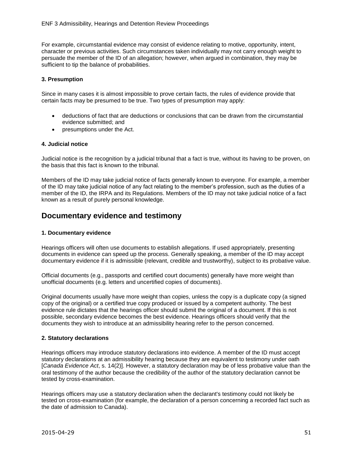For example, circumstantial evidence may consist of evidence relating to motive, opportunity, intent, character or previous activities. Such circumstances taken individually may not carry enough weight to persuade the member of the ID of an allegation; however, when argued in combination, they may be sufficient to tip the balance of probabilities.

#### **3. Presumption**

Since in many cases it is almost impossible to prove certain facts, the rules of evidence provide that certain facts may be presumed to be true. Two types of presumption may apply:

- deductions of fact that are deductions or conclusions that can be drawn from the circumstantial evidence submitted; and
- presumptions under the Act.

#### **4. Judicial notice**

Judicial notice is the recognition by a judicial tribunal that a fact is true, without its having to be proven, on the basis that this fact is known to the tribunal.

Members of the ID may take judicial notice of facts generally known to everyone. For example, a member of the ID may take judicial notice of any fact relating to the member's profession, such as the duties of a member of the ID, the IRPA and its Regulations. Members of the ID may not take judicial notice of a fact known as a result of purely personal knowledge.

#### **Documentary evidence and testimony**

#### **1. Documentary evidence**

Hearings officers will often use documents to establish allegations. If used appropriately, presenting documents in evidence can speed up the process. Generally speaking, a member of the ID may accept documentary evidence if it is admissible (relevant, credible and trustworthy), subject to its probative value.

Official documents (e.g., passports and certified court documents) generally have more weight than unofficial documents (e.g. letters and uncertified copies of documents).

Original documents usually have more weight than copies, unless the copy is a duplicate copy (a signed copy of the original) or a certified true copy produced or issued by a competent authority. The best evidence rule dictates that the hearings officer should submit the original of a document. If this is not possible, secondary evidence becomes the best evidence. Hearings officers should verify that the documents they wish to introduce at an admissibility hearing refer to the person concerned.

#### **2. Statutory declarations**

Hearings officers may introduce statutory declarations into evidence. A member of the ID must accept statutory declarations at an admissibility hearing because they are equivalent to testimony under oath [*Canada Evidence Act*, s. 14(2)]. However, a statutory declaration may be of less probative value than the oral testimony of the author because the credibility of the author of the statutory declaration cannot be tested by cross-examination.

Hearings officers may use a statutory declaration when the declarant's testimony could not likely be tested on cross-examination (for example, the declaration of a person concerning a recorded fact such as the date of admission to Canada).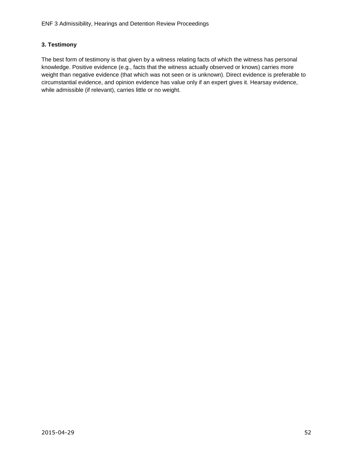#### **3. Testimony**

The best form of testimony is that given by a witness relating facts of which the witness has personal knowledge. Positive evidence (e.g., facts that the witness actually observed or knows) carries more weight than negative evidence (that which was not seen or is unknown). Direct evidence is preferable to circumstantial evidence, and opinion evidence has value only if an expert gives it. Hearsay evidence, while admissible (if relevant), carries little or no weight.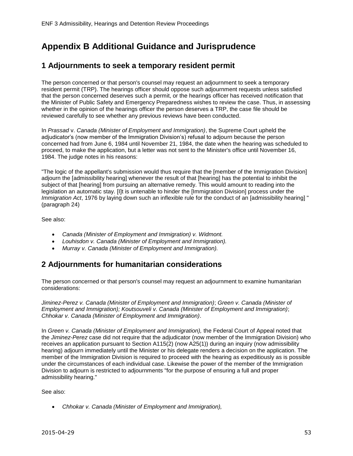# <span id="page-52-0"></span>**Appendix B Additional Guidance and Jurisprudence**

### **1 Adjournments to seek a temporary resident permit**

The person concerned or that person's counsel may request an adjournment to seek a temporary resident permit (TRP). The hearings officer should oppose such adjournment requests unless satisfied that the person concerned deserves such a permit, or the hearings officer has received notification that the Minister of Public Safety and Emergency Preparedness wishes to review the case. Thus, in assessing whether in the opinion of the hearings officer the person deserves a TRP, the case file should be reviewed carefully to see whether any previous reviews have been conducted.

In *Prassad* v. *Canada (Minister of Employment and Immigration)*, the Supreme Court upheld the adjudicator's (now member of the Immigration Division's) refusal to adjourn because the person concerned had from June 6, 1984 until November 21, 1984, the date when the hearing was scheduled to proceed, to make the application, but a letter was not sent to the Minister's office until November 16, 1984. The judge notes in his reasons:

"The logic of the appellant's submission would thus require that the [member of the Immigration Division] adjourn the [admissibility hearing] whenever the result of that [hearing] has the potential to inhibit the subject of that [hearing] from pursuing an alternative remedy. This would amount to reading into the legislation an automatic stay. [I]t is untenable to hinder the [Immigration Division] process under the *Immigration Act*, 1976 by laying down such an inflexible rule for the conduct of an [admissibility hearing] " (paragraph 24)

See also:

- *Canada (Minister of Employment and Immigration) v. Widmont.*
- *Louhisdon v. Canada (Minister of Employment and Immigration).*
- *Murray v. Canada (Minister of Employment and Immigration).*

#### **2 Adjournments for humanitarian considerations**

The person concerned or that person's counsel may request an adjournment to examine humanitarian considerations:

*Jiminez-Perez v. Canada (Minister of Employment and Immigration)*; *Green v. Canada (Minister of Employment and Immigration); Koutsouveli v. Canada (Minister of Employment and Immigration)*; *Chhokar v. Canada (Minister of Employment and Immigration)*.

In *Green v. Canada (Minister of Employment and Immigration),* the Federal Court of Appeal noted that the *Jiminez-Perez* case did not require that the adjudicator (now member of the Immigration Division) who receives an application pursuant to Section A115(2) (now A25(1)) during an inquiry (now admissibility hearing) adjourn immediately until the Minister or his delegate renders a decision on the application. The member of the Immigration Division is required to proceed with the hearing as expeditiously as is possible under the circumstances of each individual case. Likewise the power of the member of the Immigration Division to adjourn is restricted to adjournments "for the purpose of ensuring a full and proper admissibility hearing."

See also:

*Chhokar v. Canada (Minister of Employment and Immigration),*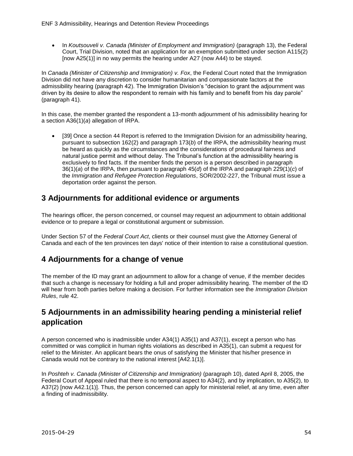In *Koutsouveli v. Canada (Minister of Employment and Immigration)* (paragraph 13), the Federal Court, Trial Division, noted that an application for an exemption submitted under section A115(2) [now A25(1)] in no way permits the hearing under A27 (now A44) to be stayed.

In *Canada (Minister of Citizenship and Immigration) v. Fox*, the Federal Court noted that the Immigration Division did not have any discretion to consider humanitarian and compassionate factors at the admissibility hearing (paragraph 42). The Immigration Division's "decision to grant the adjournment was driven by its desire to allow the respondent to remain with his family and to benefit from his day parole" (paragraph 41).

In this case, the member granted the respondent a 13-month adjournment of his admissibility hearing for a section A36(1)(*a*) allegation of IRPA.

• [39] Once a section 44 Report is referred to the Immigration Division for an admissibility hearing, pursuant to subsection 162(2) and paragraph 173(*b*) of the IRPA, the admissibility hearing must be heard as quickly as the circumstances and the considerations of procedural fairness and natural justice permit and without delay. The Tribunal's function at the admissibility hearing is exclusively to find facts. If the member finds the person is a person described in paragraph 36(1)(*a*) of the IRPA, then pursuant to paragraph 45(*d*) of the IRPA and paragraph 229(1)(*c*) of the *Immigration and Refugee Protection Regulations*, SOR/2002-227, the Tribunal must issue a deportation order against the person.

## **3 Adjournments for additional evidence or arguments**

The hearings officer, the person concerned, or counsel may request an adjournment to obtain additional evidence or to prepare a legal or constitutional argument or submission.

Under Section 57 of the *Federal Court Act*, clients or their counsel must give the Attorney General of Canada and each of the ten provinces ten days' notice of their intention to raise a constitutional question.

## **4 Adjournments for a change of venue**

The member of the ID may grant an adjournment to allow for a change of venue, if the member decides that such a change is necessary for holding a full and proper admissibility hearing. The member of the ID will hear from both parties before making a decision. For further information see the *Immigration Division Rules*, rule 42.

## **5 Adjournments in an admissibility hearing pending a ministerial relief application**

A person concerned who is inadmissible under A34(1) A35(1) and A37(1), except a person who has committed or was complicit in human rights violations as described in A35(1), can submit a request for relief to the Minister. An applicant bears the onus of satisfying the Minister that his/her presence in Canada would not be contrary to the national interest [A42.1(1)].

In Poshteh v. Canada (Minister of Citizenship and Immigration) (paragraph 10), dated April 8, 2005, the Federal Court of Appeal ruled that there is no temporal aspect to A34(2), and by implication, to A35(2), to A37(2) [now A42.1(1)]. Thus, the person concerned can apply for ministerial relief, at any time, even after a finding of inadmissibility.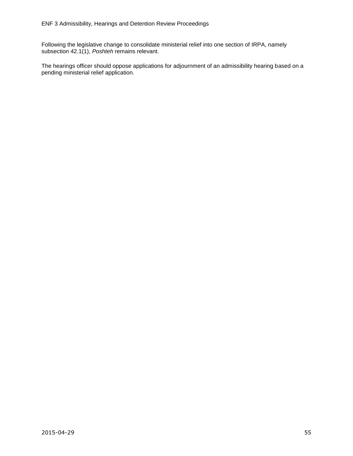Following the legislative change to consolidate ministerial relief into one section of IRPA, namely subsection 42.1(1), *Poshteh* remains relevant.

The hearings officer should oppose applications for adjournment of an admissibility hearing based on a pending ministerial relief application.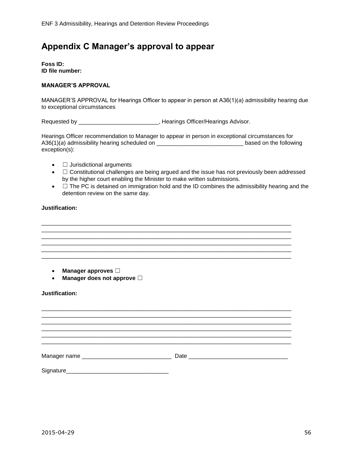# <span id="page-55-0"></span>**Appendix C Manager's approval to appear**

**Foss ID: ID file number:** 

#### **MANAGER'S APPROVAL**

MANAGER'S APPROVAL for Hearings Officer to appear in person at A36(1)(*a*) admissibility hearing due to exceptional circumstances

Requested by \_\_\_\_\_\_\_\_\_\_\_\_\_\_\_\_\_\_\_\_\_\_\_\_\_\_\_, Hearings Officer/Hearings Advisor.

Hearings Officer recommendation to Manager to appear in person in exceptional circumstances for A36(1)(*a*) admissibility hearing scheduled on \_\_\_\_\_\_\_\_\_\_\_\_\_\_\_\_\_\_\_\_\_\_\_\_\_\_\_ based on the following exception(s):

- □ Jurisdictional arguments
- $\bullet$   $\Box$  Constitutional challenges are being argued and the issue has not previously been addressed by the higher court enabling the Minister to make written submissions.
- $\bullet$   $\Box$  The PC is detained on immigration hold and the ID combines the admissibility hearing and the detention review on the same day.

\_\_\_\_\_\_\_\_\_\_\_\_\_\_\_\_\_\_\_\_\_\_\_\_\_\_\_\_\_\_\_\_\_\_\_\_\_\_\_\_\_\_\_\_\_\_\_\_\_\_\_\_\_\_\_\_\_\_\_\_\_\_\_\_\_\_\_\_\_\_\_\_\_\_\_\_\_\_ \_\_\_\_\_\_\_\_\_\_\_\_\_\_\_\_\_\_\_\_\_\_\_\_\_\_\_\_\_\_\_\_\_\_\_\_\_\_\_\_\_\_\_\_\_\_\_\_\_\_\_\_\_\_\_\_\_\_\_\_\_\_\_\_\_\_\_\_\_\_\_\_\_\_\_\_\_\_

\_\_\_\_\_\_\_\_\_\_\_\_\_\_\_\_\_\_\_\_\_\_\_\_\_\_\_\_\_\_\_\_\_\_\_\_\_\_\_\_\_\_\_\_\_\_\_\_\_\_\_\_\_\_\_\_\_\_\_\_\_\_\_\_\_\_\_\_\_\_\_\_\_\_\_\_\_\_ \_\_\_\_\_\_\_\_\_\_\_\_\_\_\_\_\_\_\_\_\_\_\_\_\_\_\_\_\_\_\_\_\_\_\_\_\_\_\_\_\_\_\_\_\_\_\_\_\_\_\_\_\_\_\_\_\_\_\_\_\_\_\_\_\_\_\_\_\_\_\_\_\_\_\_\_\_\_ \_\_\_\_\_\_\_\_\_\_\_\_\_\_\_\_\_\_\_\_\_\_\_\_\_\_\_\_\_\_\_\_\_\_\_\_\_\_\_\_\_\_\_\_\_\_\_\_\_\_\_\_\_\_\_\_\_\_\_\_\_\_\_\_\_\_\_\_\_\_\_\_\_\_\_\_\_\_

#### **Justification:**

- **Manager approves** ☐
- **Manager does not approve** ☐

#### **Justification:**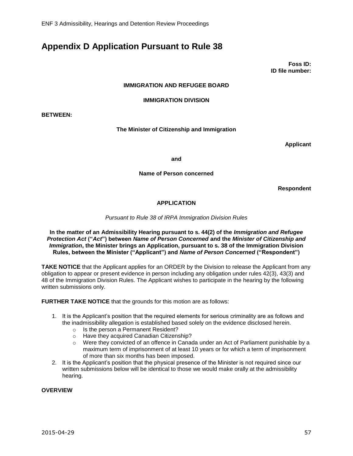# <span id="page-56-0"></span>**Appendix D Application Pursuant to Rule 38**

**Foss ID: ID file number:** 

#### **IMMIGRATION AND REFUGEE BOARD**

#### **IMMIGRATION DIVISION**

**BETWEEN:**

#### **The Minister of Citizenship and Immigration**

**Applicant**

**and**

**Name of Person concerned**

**Respondent**

#### **APPLICATION**

*Pursuant to Rule 38 of IRPA Immigration Division Rules*

#### **In the matter of an Admissibility Hearing pursuant to s. 44(2) of the** *Immigration and Refugee Protection Act* **("***Act***") between** *Name of Person Concerned* **and the** *Minister of Citizenship and Immigration***, the Minister brings an Application, pursuant to s. 38 of the Immigration Division Rules, between the Minister ("Applicant") and** *Name of Person Concerned* **("Respondent")**

**TAKE NOTICE** that the Applicant applies for an ORDER by the Division to release the Applicant from any obligation to appear or present evidence in person including any obligation under rules 42(3), 43(3) and 48 of the Immigration Division Rules. The Applicant wishes to participate in the hearing by the following written submissions only.

**FURTHER TAKE NOTICE** that the grounds for this motion are as follows:

- 1. It is the Applicant's position that the required elements for serious criminality are as follows and the inadmissibility allegation is established based solely on the evidence disclosed herein.
	- o Is the person a Permanent Resident?
	- o Have they acquired Canadian Citizenship?
	- $\circ$  Were they convicted of an offence in Canada under an Act of Parliament punishable by a maximum term of imprisonment of at least 10 years or for which a term of imprisonment of more than six months has been imposed.
- 2. It is the Applicant's position that the physical presence of the Minister is not required since our written submissions below will be identical to those we would make orally at the admissibility hearing.

#### **OVERVIEW**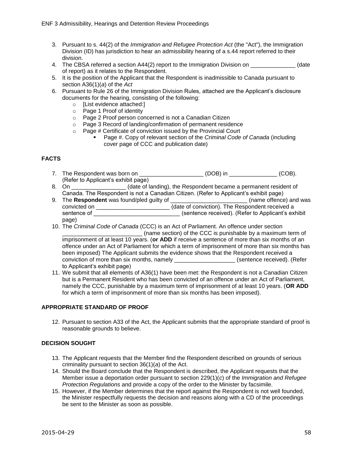- 3. Pursuant to s. 44(2) of the *Immigration and Refugee Protection Act* (the "Act"), the Immigration Division (ID) has jurisdiction to hear an admissibility hearing of a s.44 report referred to their division.
- 4. The CBSA referred a section A44(2) report to the Immigration Division on  $\blacksquare$  (date of report) as it relates to the Respondent.
- 5. It is the position of the Applicant that the Respondent is inadmissible to Canada pursuant to section A36(1)(*a*) of the *Act*
- 6. Pursuant to Rule 26 of the Immigration Division Rules, attached are the Applicant's disclosure documents for the hearing, consisting of the following:
	- o [List evidence attached:]
	- o Page 1 Proof of identity
	- o Page 2 Proof person concerned is not a Canadian Citizen
	- o Page 3 Record of landing/confirmation of permanent residence
	- o Page # Certificate of conviction issued by the Provincial Court
		- Page #. Copy of relevant section of the *Criminal Code of Canada* (including cover page of CCC and publication date)

#### **FACTS**

- 7. The Respondent was born on \_\_\_\_\_\_\_\_\_\_\_\_\_\_\_\_\_\_\_\_ (DOB) in \_\_\_\_\_\_\_\_\_\_\_\_\_\_\_ (COB). (Refer to Applicant's exhibit page)
- 8. On **Example 2.1** (date of landing), the Respondent became a permanent resident of Canada. The Respondent is not a Canadian Citizen. (Refer to Applicant's exhibit page)
- 9. The **Respondent** was found/pled guilty of \_\_\_\_\_\_\_\_\_\_\_\_\_\_\_\_\_\_\_\_\_\_\_\_ (name offence) and was convicted on \_\_\_\_\_\_\_\_\_\_\_\_\_\_\_\_\_\_\_\_\_\_\_ (date of conviction). The Respondent received a sentence of **Example 20** isentence received). (Refer to Applicant's exhibit page)
- 10. The *Criminal Code of Canada* (CCC) is an Act of Parliament. An offence under section

(name section) of the CCC is punishable by a maximum term of imprisonment of at least 10 years. (**or ADD** if receive a sentence of more than six months of an offence under an Act of Parliament for which a term of imprisonment of more than six months has been imposed) The Applicant submits the evidence shows that the Respondent received a conviction of more than six months, namely \_\_\_\_\_\_\_\_\_\_\_\_\_\_\_\_\_\_\_ (sentence received). (Refer to Applicant's exhibit page)

11. We submit that all elements of A36(1) have been met: the Respondent is not a Canadian Citizen but is a Permanent Resident who has been convicted of an offence under an Act of Parliament, namely the CCC, punishable by a maximum term of imprisonment of at least 10 years. (**OR ADD**  for which a term of imprisonment of more than six months has been imposed).

#### **APPROPRIATE STANDARD OF PROOF**

12. Pursuant to section A33 of the Act, the Applicant submits that the appropriate standard of proof is reasonable grounds to believe.

#### **DECISION SOUGHT**

- 13. The Applicant requests that the Member find the Respondent described on grounds of serious criminality pursuant to section 36(1)(*a*) of the Act.
- 14. Should the Board conclude that the Respondent is described, the Applicant requests that the Member issue a deportation order pursuant to section 229(1)(*c*) of the *Immigration and Refugee Protection Regulations* and provide a copy of the order to the Minister by facsimile.
- 15. However, if the Member determines that the report against the Respondent is not well founded, the Minister respectfully requests the decision and reasons along with a CD of the proceedings be sent to the Minister as soon as possible.